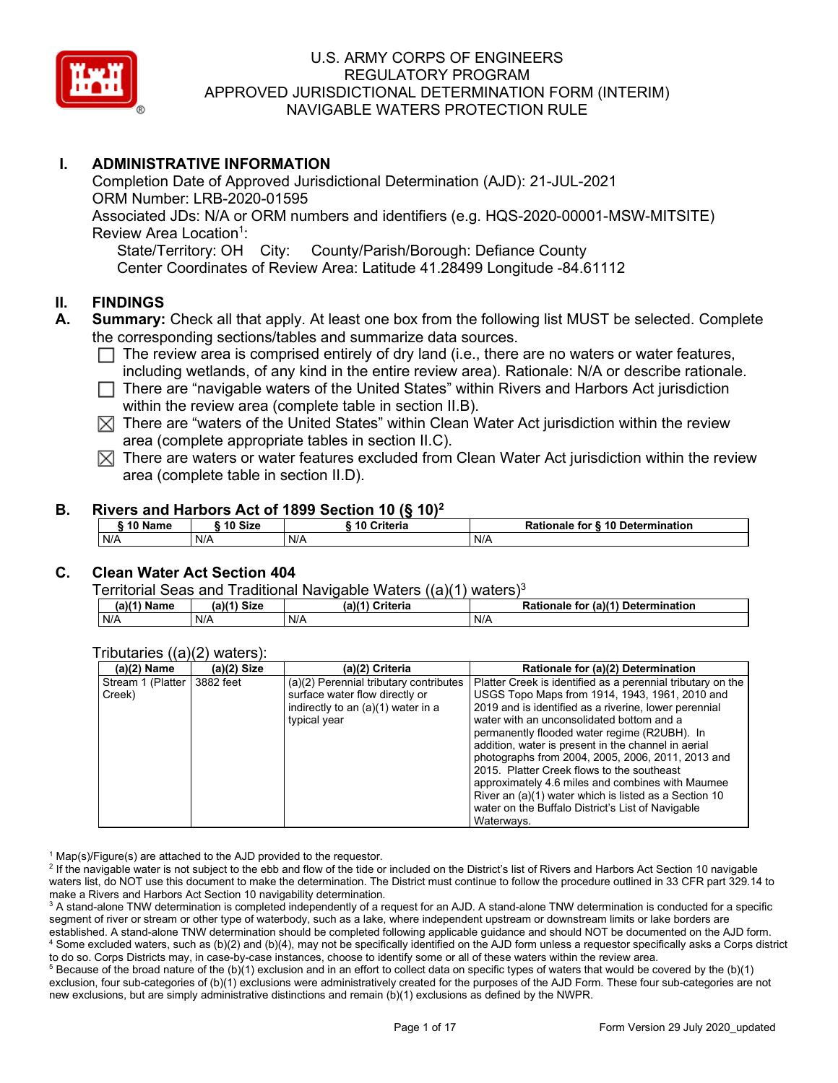

# **I. ADMINISTRATIVE INFORMATION**

Completion Date of Approved Jurisdictional Determination (AJD): 21-JUL-2021 ORM Number: LRB-2020-01595 Associated JDs: N/A or ORM numbers and identifiers (e.g. HQS-2020-00001-MSW-MITSITE) Review Area Location<sup>1</sup>: State/Territory: OH City: County/Parish/Borough: Defiance County Center Coordinates of Review Area: Latitude 41.28499 Longitude -84.61112

#### **II. FINDINGS**

- **A. Summary:** Check all that apply. At least one box from the following list MUST be selected. Complete the corresponding sections/tables and summarize data sources.
	- $\Box$  The review area is comprised entirely of dry land (i.e., there are no waters or water features, including wetlands, of any kind in the entire review area). Rationale: N/A or describe rationale.
	- $\Box$  There are "navigable waters of the United States" within Rivers and Harbors Act jurisdiction within the review area (complete table in section II.B).
	- $\boxtimes$  There are "waters of the United States" within Clean Water Act jurisdiction within the review area (complete appropriate tables in section II.C).
	- $\boxtimes$  There are waters or water features excluded from Clean Water Act jurisdiction within the review area (complete table in section II.D).

#### **B. Rivers and Harbors Act of 1899 Section 10 (§ 10)2**

| $\degree$ 10 Name | 10 Size | Criteria | <b>Rationale for § 10 Determination</b> |  |
|-------------------|---------|----------|-----------------------------------------|--|
| N/A               | N/A     | N/A      | N/A                                     |  |

## **C. Clean Water Act Section 404**

Territorial Seas and Traditional Navigable Waters  $((a)(1)$  waters)<sup>3</sup>

| $(a)(1)$ .<br>Name | (a)<br><b>Size</b> | (a)<br>Criteria | (a)(1)<br>Determination<br>Rationale<br>tor |
|--------------------|--------------------|-----------------|---------------------------------------------|
| N/A                | N/A                | N/A             | N/A                                         |

#### Tributaries ((a)(2) waters):

| $(a)(2)$ Name     | $(a)(2)$ Size | (a)(2) Criteria                        | Rationale for (a)(2) Determination                          |
|-------------------|---------------|----------------------------------------|-------------------------------------------------------------|
| Stream 1 (Platter | 3882 feet     | (a)(2) Perennial tributary contributes | Platter Creek is identified as a perennial tributary on the |
| Creek)            |               | surface water flow directly or         | USGS Topo Maps from 1914, 1943, 1961, 2010 and              |
|                   |               | indirectly to an (a)(1) water in a     | 2019 and is identified as a riverine, lower perennial       |
|                   |               | typical year                           | water with an unconsolidated bottom and a                   |
|                   |               |                                        | permanently flooded water regime (R2UBH). In                |
|                   |               |                                        | addition, water is present in the channel in aerial         |
|                   |               |                                        | photographs from 2004, 2005, 2006, 2011, 2013 and           |
|                   |               |                                        | 2015. Platter Creek flows to the southeast                  |
|                   |               |                                        | approximately 4.6 miles and combines with Maumee            |
|                   |               |                                        | River an (a)(1) water which is listed as a Section 10       |
|                   |               |                                        | water on the Buffalo District's List of Navigable           |
|                   |               |                                        | Waterways.                                                  |

 $1$  Map(s)/Figure(s) are attached to the AJD provided to the requestor.

<sup>2</sup> If the navigable water is not subject to the ebb and flow of the tide or included on the District's list of Rivers and Harbors Act Section 10 navigable waters list, do NOT use this document to make the determination. The District must continue to follow the procedure outlined in 33 CFR part 329.14 to make a Rivers and Harbors Act Section 10 navigability determination.

<sup>3</sup> A stand-alone TNW determination is completed independently of a request for an AJD. A stand-alone TNW determination is conducted for a specific segment of river or stream or other type of waterbody, such as a lake, where independent upstream or downstream limits or lake borders are established. A stand-alone TNW determination should be completed following applicable guidance and should NOT be documented on the AJD form. <sup>4</sup> Some excluded waters, such as (b)(2) and (b)(4), may not be specifically identified on the AJD form unless a requestor specifically asks a Corps district to do so. Corps Districts may, in case-by-case instances, choose to identify some or all of these waters within the review area.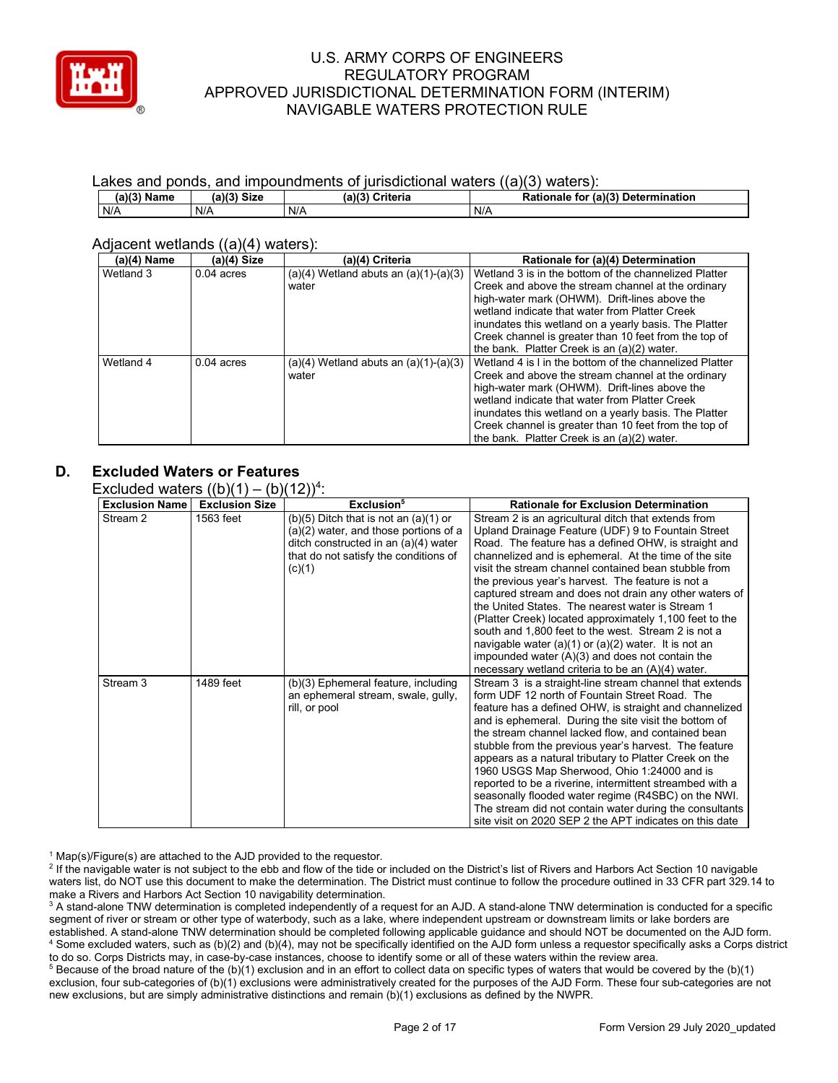

#### Lakes and ponds, and impoundments of jurisdictional waters ((a)(3) waters):

| $(a)(3)$ Name | <b>Size</b><br>(a)(3) | (a)(3)<br>Criteria | Rationale for (a)(3) Determination |
|---------------|-----------------------|--------------------|------------------------------------|
| N/A           | N/A                   | N/A                | N/A                                |

#### Adjacent wetlands ((a)(4) waters):

| (a)(4) Name | (a)(4) Size  | (a)(4) Criteria                           | Rationale for (a)(4) Determination                      |
|-------------|--------------|-------------------------------------------|---------------------------------------------------------|
| Wetland 3   | $0.04$ acres | $(a)(4)$ Wetland abuts an $(a)(1)-(a)(3)$ | Wetland 3 is in the bottom of the channelized Platter   |
|             |              | water                                     | Creek and above the stream channel at the ordinary      |
|             |              |                                           | high-water mark (OHWM). Drift-lines above the           |
|             |              |                                           | wetland indicate that water from Platter Creek          |
|             |              |                                           | inundates this wetland on a yearly basis. The Platter   |
|             |              |                                           | Creek channel is greater than 10 feet from the top of   |
|             |              |                                           | the bank. Platter Creek is an (a)(2) water.             |
| Wetland 4   | $0.04$ acres | $(a)(4)$ Wetland abuts an $(a)(1)-(a)(3)$ | Wetland 4 is I in the bottom of the channelized Platter |
|             |              | water                                     | Creek and above the stream channel at the ordinary      |
|             |              |                                           | high-water mark (OHWM). Drift-lines above the           |
|             |              |                                           | wetland indicate that water from Platter Creek          |
|             |              |                                           | inundates this wetland on a yearly basis. The Platter   |
|             |              |                                           | Creek channel is greater than 10 feet from the top of   |
|             |              |                                           | the bank. Platter Creek is an (a)(2) water.             |

## **D. Excluded Waters or Features**

Excluded waters  $((b)(1) - (b)(12))^4$ :

| <b>Exclusion Name</b> | <b>Exclusion Size</b> | Exclusion <sup>5</sup>                                                                                                                                                        | <b>Rationale for Exclusion Determination</b>                                                                                                                                                                                                                                                                                                                                                                                                                                                                                                                                                                                                                                                                                                |
|-----------------------|-----------------------|-------------------------------------------------------------------------------------------------------------------------------------------------------------------------------|---------------------------------------------------------------------------------------------------------------------------------------------------------------------------------------------------------------------------------------------------------------------------------------------------------------------------------------------------------------------------------------------------------------------------------------------------------------------------------------------------------------------------------------------------------------------------------------------------------------------------------------------------------------------------------------------------------------------------------------------|
| Stream 2              | 1563 feet             | $(b)(5)$ Ditch that is not an $(a)(1)$ or<br>(a)(2) water, and those portions of a<br>ditch constructed in an (a)(4) water<br>that do not satisfy the conditions of<br>(c)(1) | Stream 2 is an agricultural ditch that extends from<br>Upland Drainage Feature (UDF) 9 to Fountain Street<br>Road. The feature has a defined OHW, is straight and<br>channelized and is ephemeral. At the time of the site<br>visit the stream channel contained bean stubble from<br>the previous year's harvest. The feature is not a<br>captured stream and does not drain any other waters of<br>the United States. The nearest water is Stream 1<br>(Platter Creek) located approximately 1,100 feet to the<br>south and 1,800 feet to the west. Stream 2 is not a<br>navigable water (a)(1) or (a)(2) water. It is not an<br>impounded water $(A)(3)$ and does not contain the<br>necessary wetland criteria to be an $(A)(4)$ water. |
| Stream 3              | 1489 feet             | (b)(3) Ephemeral feature, including<br>an ephemeral stream, swale, gully,<br>rill, or pool                                                                                    | Stream 3 is a straight-line stream channel that extends<br>form UDF 12 north of Fountain Street Road. The<br>feature has a defined OHW, is straight and channelized<br>and is ephemeral. During the site visit the bottom of<br>the stream channel lacked flow, and contained bean<br>stubble from the previous year's harvest. The feature<br>appears as a natural tributary to Platter Creek on the<br>1960 USGS Map Sherwood, Ohio 1:24000 and is<br>reported to be a riverine, intermittent streambed with a<br>seasonally flooded water regime (R4SBC) on the NWI.<br>The stream did not contain water during the consultants<br>site visit on 2020 SEP 2 the APT indicates on this date                                               |

 $1$  Map(s)/Figure(s) are attached to the AJD provided to the requestor.

<sup>2</sup> If the navigable water is not subject to the ebb and flow of the tide or included on the District's list of Rivers and Harbors Act Section 10 navigable waters list, do NOT use this document to make the determination. The District must continue to follow the procedure outlined in 33 CFR part 329.14 to make a Rivers and Harbors Act Section 10 navigability determination.

<sup>3</sup> A stand-alone TNW determination is completed independently of a request for an AJD. A stand-alone TNW determination is conducted for a specific segment of river or stream or other type of waterbody, such as a lake, where independent upstream or downstream limits or lake borders are established. A stand-alone TNW determination should be completed following applicable guidance and should NOT be documented on the AJD form. <sup>4</sup> Some excluded waters, such as (b)(2) and (b)(4), may not be specifically identified on the AJD form unless a requestor specifically asks a Corps district to do so. Corps Districts may, in case-by-case instances, choose to identify some or all of these waters within the review area.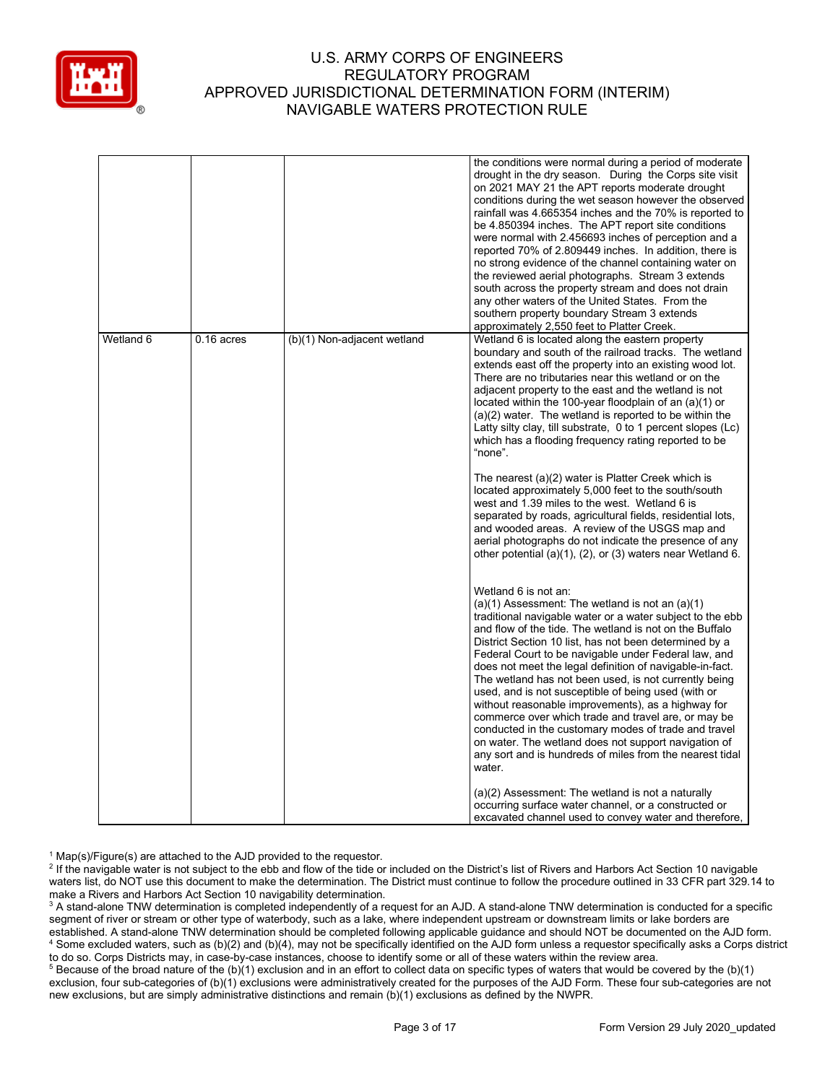

|           |            |                             | the conditions were normal during a period of moderate<br>drought in the dry season. During the Corps site visit<br>on 2021 MAY 21 the APT reports moderate drought<br>conditions during the wet season however the observed<br>rainfall was 4.665354 inches and the 70% is reported to<br>be 4.850394 inches. The APT report site conditions<br>were normal with 2.456693 inches of perception and a<br>reported 70% of 2.809449 inches. In addition, there is<br>no strong evidence of the channel containing water on<br>the reviewed aerial photographs. Stream 3 extends<br>south across the property stream and does not drain<br>any other waters of the United States. From the<br>southern property boundary Stream 3 extends<br>approximately 2,550 feet to Platter Creek.                 |
|-----------|------------|-----------------------------|------------------------------------------------------------------------------------------------------------------------------------------------------------------------------------------------------------------------------------------------------------------------------------------------------------------------------------------------------------------------------------------------------------------------------------------------------------------------------------------------------------------------------------------------------------------------------------------------------------------------------------------------------------------------------------------------------------------------------------------------------------------------------------------------------|
| Wetland 6 | 0.16 acres | (b)(1) Non-adjacent wetland | Wetland 6 is located along the eastern property<br>boundary and south of the railroad tracks. The wetland<br>extends east off the property into an existing wood lot.<br>There are no tributaries near this wetland or on the<br>adjacent property to the east and the wetland is not<br>located within the 100-year floodplain of an (a)(1) or<br>$(a)(2)$ water. The wetland is reported to be within the<br>Latty silty clay, till substrate, 0 to 1 percent slopes (Lc)<br>which has a flooding frequency rating reported to be<br>"none".                                                                                                                                                                                                                                                       |
|           |            |                             | The nearest (a)(2) water is Platter Creek which is<br>located approximately 5,000 feet to the south/south<br>west and 1.39 miles to the west. Wetland 6 is<br>separated by roads, agricultural fields, residential lots,<br>and wooded areas. A review of the USGS map and<br>aerial photographs do not indicate the presence of any<br>other potential (a)(1), (2), or (3) waters near Wetland 6.                                                                                                                                                                                                                                                                                                                                                                                                   |
|           |            |                             | Wetland 6 is not an:<br>$(a)(1)$ Assessment: The wetland is not an $(a)(1)$<br>traditional navigable water or a water subject to the ebb<br>and flow of the tide. The wetland is not on the Buffalo<br>District Section 10 list, has not been determined by a<br>Federal Court to be navigable under Federal law, and<br>does not meet the legal definition of navigable-in-fact.<br>The wetland has not been used, is not currently being<br>used, and is not susceptible of being used (with or<br>without reasonable improvements), as a highway for<br>commerce over which trade and travel are, or may be<br>conducted in the customary modes of trade and travel<br>on water. The wetland does not support navigation of<br>any sort and is hundreds of miles from the nearest tidal<br>water. |
|           |            |                             | (a)(2) Assessment: The wetland is not a naturally<br>occurring surface water channel, or a constructed or<br>excavated channel used to convey water and therefore,                                                                                                                                                                                                                                                                                                                                                                                                                                                                                                                                                                                                                                   |

 $1$  Map(s)/Figure(s) are attached to the AJD provided to the requestor.

<sup>2</sup> If the navigable water is not subject to the ebb and flow of the tide or included on the District's list of Rivers and Harbors Act Section 10 navigable waters list, do NOT use this document to make the determination. The District must continue to follow the procedure outlined in 33 CFR part 329.14 to make a Rivers and Harbors Act Section 10 navigability determination.

<sup>3</sup> A stand-alone TNW determination is completed independently of a request for an AJD. A stand-alone TNW determination is conducted for a specific segment of river or stream or other type of waterbody, such as a lake, where independent upstream or downstream limits or lake borders are established. A stand-alone TNW determination should be completed following applicable guidance and should NOT be documented on the AJD form. <sup>4</sup> Some excluded waters, such as (b)(2) and (b)(4), may not be specifically identified on the AJD form unless a requestor specifically asks a Corps district to do so. Corps Districts may, in case-by-case instances, choose to identify some or all of these waters within the review area.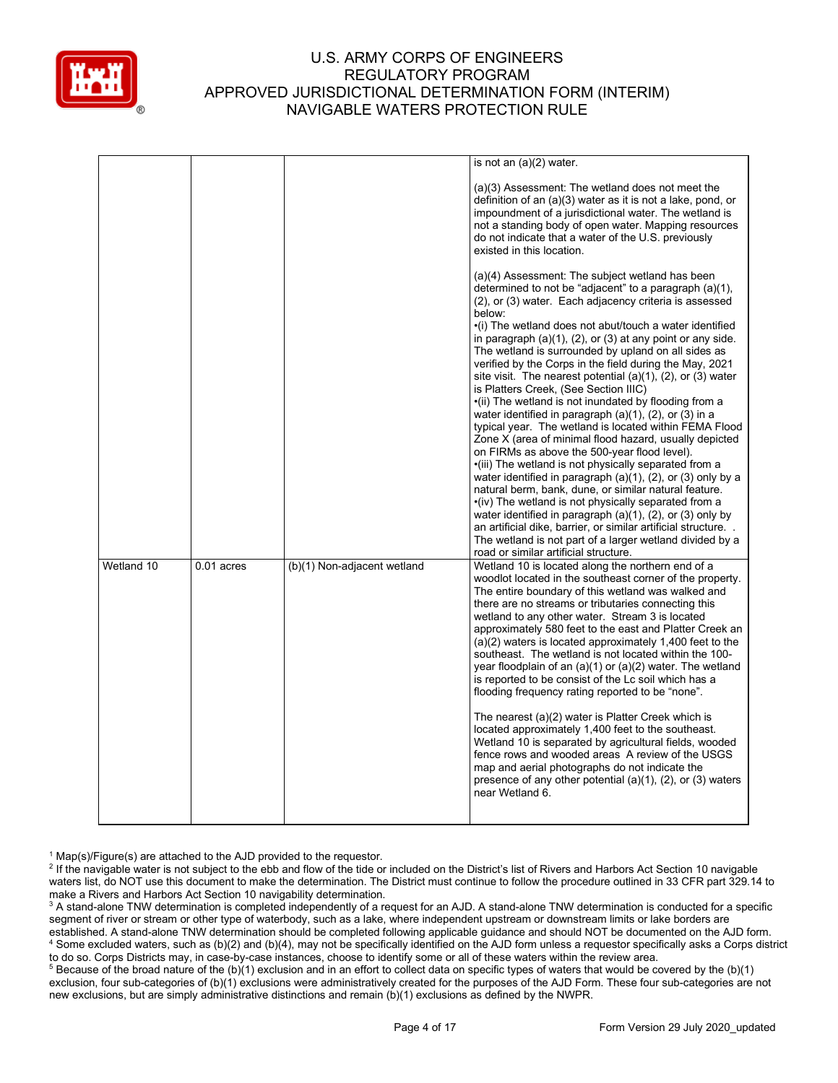

|            |              |                             | is not an $(a)(2)$ water.                                                                                                                                                                                                                                                                                                                                                                                                                                                                                                                                                                                                                                                                                                                                                                                                                                                                                                                                                                                                                                                                                                                                                                                                                                                                                                  |
|------------|--------------|-----------------------------|----------------------------------------------------------------------------------------------------------------------------------------------------------------------------------------------------------------------------------------------------------------------------------------------------------------------------------------------------------------------------------------------------------------------------------------------------------------------------------------------------------------------------------------------------------------------------------------------------------------------------------------------------------------------------------------------------------------------------------------------------------------------------------------------------------------------------------------------------------------------------------------------------------------------------------------------------------------------------------------------------------------------------------------------------------------------------------------------------------------------------------------------------------------------------------------------------------------------------------------------------------------------------------------------------------------------------|
|            |              |                             | (a)(3) Assessment: The wetland does not meet the<br>definition of an (a)(3) water as it is not a lake, pond, or<br>impoundment of a jurisdictional water. The wetland is<br>not a standing body of open water. Mapping resources<br>do not indicate that a water of the U.S. previously<br>existed in this location.                                                                                                                                                                                                                                                                                                                                                                                                                                                                                                                                                                                                                                                                                                                                                                                                                                                                                                                                                                                                       |
|            |              |                             | (a)(4) Assessment: The subject wetland has been<br>determined to not be "adjacent" to a paragraph (a)(1),<br>(2), or (3) water. Each adjacency criteria is assessed<br>below:<br>·(i) The wetland does not abut/touch a water identified<br>in paragraph (a)(1), (2), or (3) at any point or any side.<br>The wetland is surrounded by upland on all sides as<br>verified by the Corps in the field during the May, 2021<br>site visit. The nearest potential $(a)(1)$ , $(2)$ , or $(3)$ water<br>is Platters Creek, (See Section IIIC)<br>•(ii) The wetland is not inundated by flooding from a<br>water identified in paragraph $(a)(1)$ , $(2)$ , or $(3)$ in a<br>typical year. The wetland is located within FEMA Flood<br>Zone X (area of minimal flood hazard, usually depicted<br>on FIRMs as above the 500-year flood level).<br>·(iii) The wetland is not physically separated from a<br>water identified in paragraph (a)(1), (2), or (3) only by a<br>natural berm, bank, dune, or similar natural feature.<br>•(iv) The wetland is not physically separated from a<br>water identified in paragraph $(a)(1)$ , $(2)$ , or $(3)$ only by<br>an artificial dike, barrier, or similar artificial structure<br>The wetland is not part of a larger wetland divided by a<br>road or similar artificial structure. |
| Wetland 10 | $0.01$ acres | (b)(1) Non-adjacent wetland | Wetland 10 is located along the northern end of a<br>woodlot located in the southeast corner of the property.<br>The entire boundary of this wetland was walked and<br>there are no streams or tributaries connecting this<br>wetland to any other water. Stream 3 is located<br>approximately 580 feet to the east and Platter Creek an<br>$(a)(2)$ waters is located approximately 1,400 feet to the<br>southeast. The wetland is not located within the 100-<br>year floodplain of an $(a)(1)$ or $(a)(2)$ water. The wetland<br>is reported to be consist of the Lc soil which has a<br>flooding frequency rating reported to be "none".<br>The nearest (a)(2) water is Platter Creek which is<br>located approximately 1,400 feet to the southeast.<br>Wetland 10 is separated by agricultural fields, wooded<br>fence rows and wooded areas A review of the USGS<br>map and aerial photographs do not indicate the<br>presence of any other potential $(a)(1)$ , $(2)$ , or $(3)$ waters<br>near Wetland 6.                                                                                                                                                                                                                                                                                                          |

 $1$  Map(s)/Figure(s) are attached to the AJD provided to the requestor.

<sup>2</sup> If the navigable water is not subject to the ebb and flow of the tide or included on the District's list of Rivers and Harbors Act Section 10 navigable waters list, do NOT use this document to make the determination. The District must continue to follow the procedure outlined in 33 CFR part 329.14 to make a Rivers and Harbors Act Section 10 navigability determination.

<sup>3</sup> A stand-alone TNW determination is completed independently of a request for an AJD. A stand-alone TNW determination is conducted for a specific segment of river or stream or other type of waterbody, such as a lake, where independent upstream or downstream limits or lake borders are established. A stand-alone TNW determination should be completed following applicable guidance and should NOT be documented on the AJD form. <sup>4</sup> Some excluded waters, such as (b)(2) and (b)(4), may not be specifically identified on the AJD form unless a requestor specifically asks a Corps district to do so. Corps Districts may, in case-by-case instances, choose to identify some or all of these waters within the review area.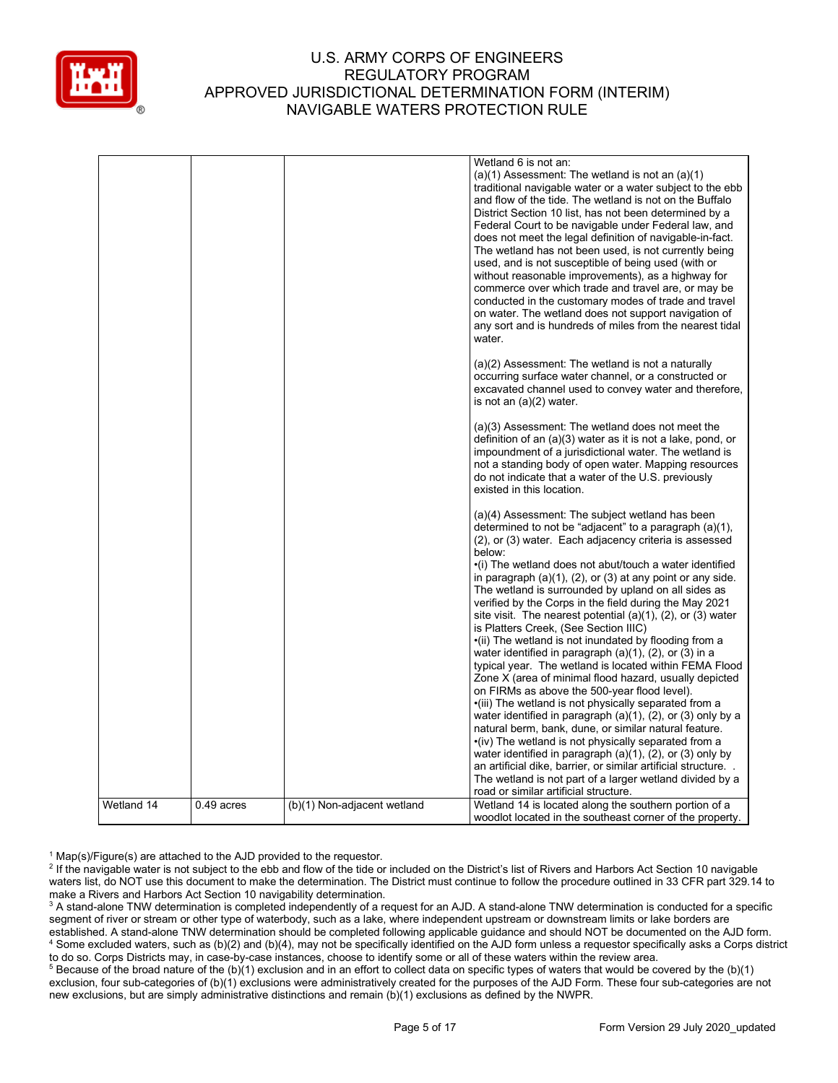

|            |              |                             | Wetland 6 is not an:<br>$(a)(1)$ Assessment: The wetland is not an $(a)(1)$<br>traditional navigable water or a water subject to the ebb<br>and flow of the tide. The wetland is not on the Buffalo<br>District Section 10 list, has not been determined by a<br>Federal Court to be navigable under Federal law, and<br>does not meet the legal definition of navigable-in-fact.<br>The wetland has not been used, is not currently being<br>used, and is not susceptible of being used (with or<br>without reasonable improvements), as a highway for<br>commerce over which trade and travel are, or may be<br>conducted in the customary modes of trade and travel<br>on water. The wetland does not support navigation of<br>any sort and is hundreds of miles from the nearest tidal<br>water.                                                                                                                                                                                                                                                                                                                                                                                                                                                                                                                              |
|------------|--------------|-----------------------------|-----------------------------------------------------------------------------------------------------------------------------------------------------------------------------------------------------------------------------------------------------------------------------------------------------------------------------------------------------------------------------------------------------------------------------------------------------------------------------------------------------------------------------------------------------------------------------------------------------------------------------------------------------------------------------------------------------------------------------------------------------------------------------------------------------------------------------------------------------------------------------------------------------------------------------------------------------------------------------------------------------------------------------------------------------------------------------------------------------------------------------------------------------------------------------------------------------------------------------------------------------------------------------------------------------------------------------------|
|            |              |                             | (a)(2) Assessment: The wetland is not a naturally<br>occurring surface water channel, or a constructed or<br>excavated channel used to convey water and therefore,<br>is not an $(a)(2)$ water.                                                                                                                                                                                                                                                                                                                                                                                                                                                                                                                                                                                                                                                                                                                                                                                                                                                                                                                                                                                                                                                                                                                                   |
|            |              |                             | (a)(3) Assessment: The wetland does not meet the<br>definition of an (a)(3) water as it is not a lake, pond, or<br>impoundment of a jurisdictional water. The wetland is<br>not a standing body of open water. Mapping resources<br>do not indicate that a water of the U.S. previously<br>existed in this location.                                                                                                                                                                                                                                                                                                                                                                                                                                                                                                                                                                                                                                                                                                                                                                                                                                                                                                                                                                                                              |
|            |              |                             | (a)(4) Assessment: The subject wetland has been<br>determined to not be "adjacent" to a paragraph (a)(1),<br>(2), or (3) water. Each adjacency criteria is assessed<br>below:<br>•(i) The wetland does not abut/touch a water identified<br>in paragraph $(a)(1)$ , $(2)$ , or $(3)$ at any point or any side.<br>The wetland is surrounded by upland on all sides as<br>verified by the Corps in the field during the May 2021<br>site visit. The nearest potential $(a)(1)$ , $(2)$ , or $(3)$ water<br>is Platters Creek, (See Section IIIC)<br>•(ii) The wetland is not inundated by flooding from a<br>water identified in paragraph (a)(1), (2), or (3) in a<br>typical year. The wetland is located within FEMA Flood<br>Zone X (area of minimal flood hazard, usually depicted<br>on FIRMs as above the 500-year flood level).<br>•(iii) The wetland is not physically separated from a<br>water identified in paragraph $(a)(1)$ , $(2)$ , or $(3)$ only by a<br>natural berm, bank, dune, or similar natural feature.<br>•(iv) The wetland is not physically separated from a<br>water identified in paragraph $(a)(1)$ , $(2)$ , or $(3)$ only by<br>an artificial dike, barrier, or similar artificial structure<br>The wetland is not part of a larger wetland divided by a<br>road or similar artificial structure. |
| Wetland 14 | $0.49$ acres | (b)(1) Non-adjacent wetland | Wetland 14 is located along the southern portion of a<br>woodlot located in the southeast corner of the property.                                                                                                                                                                                                                                                                                                                                                                                                                                                                                                                                                                                                                                                                                                                                                                                                                                                                                                                                                                                                                                                                                                                                                                                                                 |

 $1$  Map(s)/Figure(s) are attached to the AJD provided to the requestor.

<sup>&</sup>lt;sup>2</sup> If the navigable water is not subject to the ebb and flow of the tide or included on the District's list of Rivers and Harbors Act Section 10 navigable waters list, do NOT use this document to make the determination. The District must continue to follow the procedure outlined in 33 CFR part 329.14 to make a Rivers and Harbors Act Section 10 navigability determination.

<sup>&</sup>lt;sup>3</sup> A stand-alone TNW determination is completed independently of a request for an AJD. A stand-alone TNW determination is conducted for a specific segment of river or stream or other type of waterbody, such as a lake, where independent upstream or downstream limits or lake borders are established. A stand-alone TNW determination should be completed following applicable guidance and should NOT be documented on the AJD form. <sup>4</sup> Some excluded waters, such as (b)(2) and (b)(4), may not be specifically identified on the AJD form unless a requestor specifically asks a Corps district to do so. Corps Districts may, in case-by-case instances, choose to identify some or all of these waters within the review area.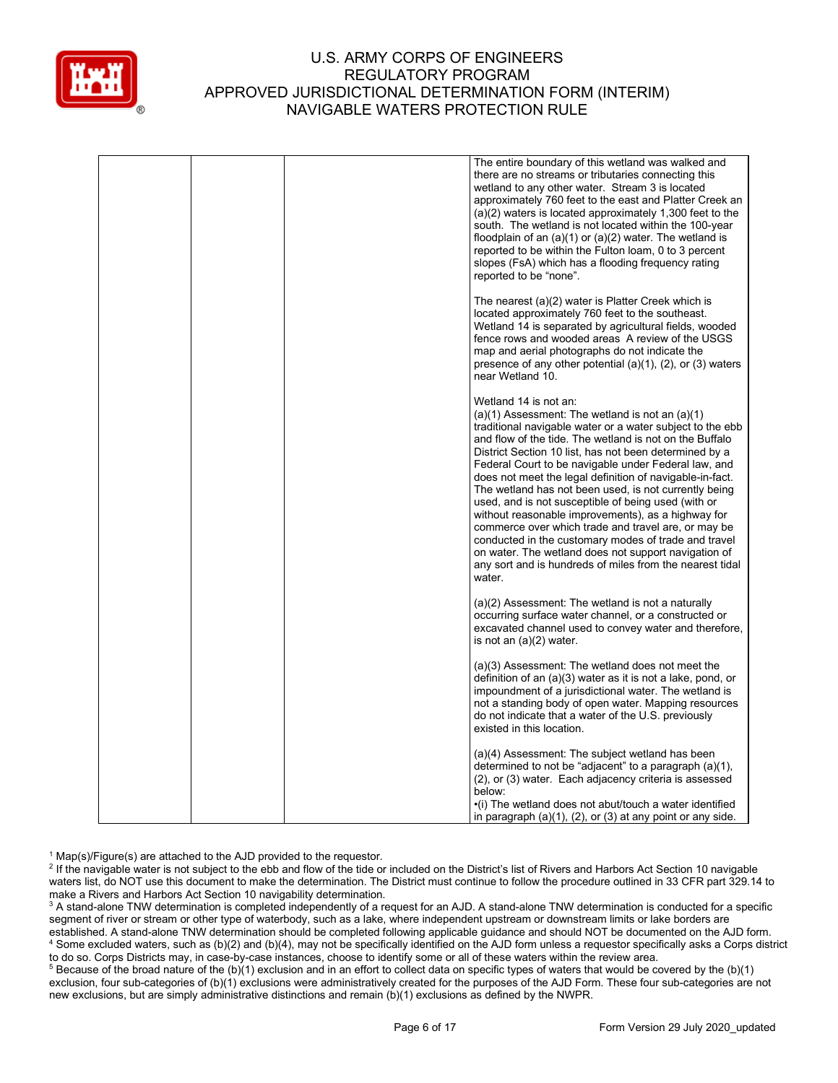

|  | The entire boundary of this wetland was walked and<br>there are no streams or tributaries connecting this<br>wetland to any other water. Stream 3 is located<br>approximately 760 feet to the east and Platter Creek an<br>$(a)(2)$ waters is located approximately 1,300 feet to the<br>south. The wetland is not located within the 100-year<br>floodplain of an $(a)(1)$ or $(a)(2)$ water. The wetland is<br>reported to be within the Fulton loam, 0 to 3 percent<br>slopes (FsA) which has a flooding frequency rating<br>reported to be "none".                                                                                                                                                                                                                                                |
|--|-------------------------------------------------------------------------------------------------------------------------------------------------------------------------------------------------------------------------------------------------------------------------------------------------------------------------------------------------------------------------------------------------------------------------------------------------------------------------------------------------------------------------------------------------------------------------------------------------------------------------------------------------------------------------------------------------------------------------------------------------------------------------------------------------------|
|  | The nearest (a)(2) water is Platter Creek which is<br>located approximately 760 feet to the southeast.<br>Wetland 14 is separated by agricultural fields, wooded<br>fence rows and wooded areas A review of the USGS<br>map and aerial photographs do not indicate the<br>presence of any other potential $(a)(1)$ , $(2)$ , or $(3)$ waters<br>near Wetland 10.                                                                                                                                                                                                                                                                                                                                                                                                                                      |
|  | Wetland 14 is not an:<br>$(a)(1)$ Assessment: The wetland is not an $(a)(1)$<br>traditional navigable water or a water subject to the ebb<br>and flow of the tide. The wetland is not on the Buffalo<br>District Section 10 list, has not been determined by a<br>Federal Court to be navigable under Federal law, and<br>does not meet the legal definition of navigable-in-fact.<br>The wetland has not been used, is not currently being<br>used, and is not susceptible of being used (with or<br>without reasonable improvements), as a highway for<br>commerce over which trade and travel are, or may be<br>conducted in the customary modes of trade and travel<br>on water. The wetland does not support navigation of<br>any sort and is hundreds of miles from the nearest tidal<br>water. |
|  | (a)(2) Assessment: The wetland is not a naturally<br>occurring surface water channel, or a constructed or<br>excavated channel used to convey water and therefore,<br>is not an $(a)(2)$ water.                                                                                                                                                                                                                                                                                                                                                                                                                                                                                                                                                                                                       |
|  | (a)(3) Assessment: The wetland does not meet the<br>definition of an $(a)(3)$ water as it is not a lake, pond, or<br>impoundment of a jurisdictional water. The wetland is<br>not a standing body of open water. Mapping resources<br>do not indicate that a water of the U.S. previously<br>existed in this location.                                                                                                                                                                                                                                                                                                                                                                                                                                                                                |
|  | (a)(4) Assessment: The subject wetland has been<br>determined to not be "adjacent" to a paragraph (a)(1),<br>(2), or (3) water. Each adjacency criteria is assessed<br>below:<br>$\cdot$ (i) The wetland does not abut/touch a water identified<br>in paragraph $(a)(1)$ , $(2)$ , or $(3)$ at any point or any side.                                                                                                                                                                                                                                                                                                                                                                                                                                                                                 |

 $1$  Map(s)/Figure(s) are attached to the AJD provided to the requestor.

<sup>2</sup> If the navigable water is not subject to the ebb and flow of the tide or included on the District's list of Rivers and Harbors Act Section 10 navigable waters list, do NOT use this document to make the determination. The District must continue to follow the procedure outlined in 33 CFR part 329.14 to make a Rivers and Harbors Act Section 10 navigability determination.

<sup>3</sup> A stand-alone TNW determination is completed independently of a request for an AJD. A stand-alone TNW determination is conducted for a specific segment of river or stream or other type of waterbody, such as a lake, where independent upstream or downstream limits or lake borders are established. A stand-alone TNW determination should be completed following applicable guidance and should NOT be documented on the AJD form. <sup>4</sup> Some excluded waters, such as (b)(2) and (b)(4), may not be specifically identified on the AJD form unless a requestor specifically asks a Corps district to do so. Corps Districts may, in case-by-case instances, choose to identify some or all of these waters within the review area.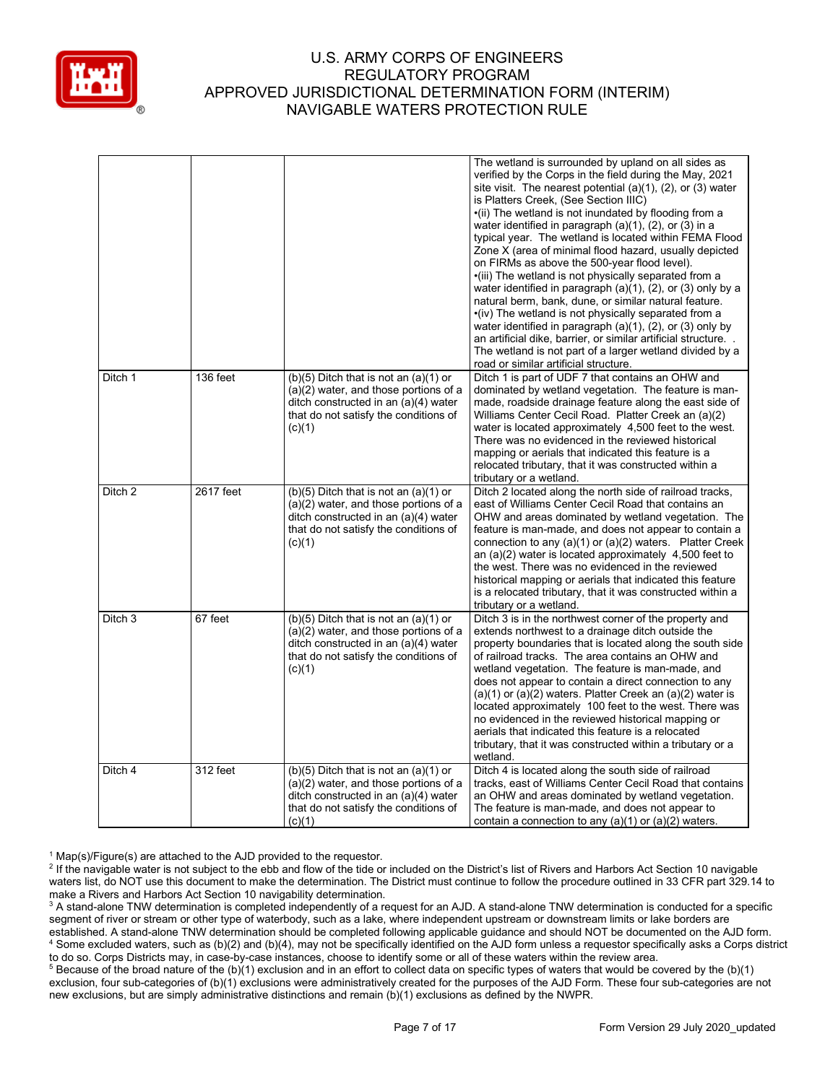

|                    |           |                                                                                                                                                                                 | The wetland is surrounded by upland on all sides as<br>verified by the Corps in the field during the May, 2021<br>site visit. The nearest potential $(a)(1)$ , $(2)$ , or $(3)$ water<br>is Platters Creek, (See Section IIIC)<br>•(ii) The wetland is not inundated by flooding from a<br>water identified in paragraph $(a)(1)$ , $(2)$ , or $(3)$ in a<br>typical year. The wetland is located within FEMA Flood<br>Zone X (area of minimal flood hazard, usually depicted<br>on FIRMs as above the 500-year flood level).<br>•(iii) The wetland is not physically separated from a<br>water identified in paragraph $(a)(1)$ , $(2)$ , or $(3)$ only by a<br>natural berm, bank, dune, or similar natural feature.<br>•(iv) The wetland is not physically separated from a<br>water identified in paragraph $(a)(1)$ , $(2)$ , or $(3)$ only by<br>an artificial dike, barrier, or similar artificial structure<br>The wetland is not part of a larger wetland divided by a<br>road or similar artificial structure. |
|--------------------|-----------|---------------------------------------------------------------------------------------------------------------------------------------------------------------------------------|--------------------------------------------------------------------------------------------------------------------------------------------------------------------------------------------------------------------------------------------------------------------------------------------------------------------------------------------------------------------------------------------------------------------------------------------------------------------------------------------------------------------------------------------------------------------------------------------------------------------------------------------------------------------------------------------------------------------------------------------------------------------------------------------------------------------------------------------------------------------------------------------------------------------------------------------------------------------------------------------------------------------------|
| Ditch 1            | 136 feet  | $(b)(5)$ Ditch that is not an $(a)(1)$ or<br>$(a)(2)$ water, and those portions of a<br>ditch constructed in an (a)(4) water<br>that do not satisfy the conditions of<br>(c)(1) | Ditch 1 is part of UDF 7 that contains an OHW and<br>dominated by wetland vegetation. The feature is man-<br>made, roadside drainage feature along the east side of<br>Williams Center Cecil Road. Platter Creek an (a)(2)<br>water is located approximately 4,500 feet to the west.<br>There was no evidenced in the reviewed historical<br>mapping or aerials that indicated this feature is a<br>relocated tributary, that it was constructed within a<br>tributary or a wetland.                                                                                                                                                                                                                                                                                                                                                                                                                                                                                                                                     |
| Ditch 2            | 2617 feet | $(b)(5)$ Ditch that is not an $(a)(1)$ or<br>(a)(2) water, and those portions of a<br>ditch constructed in an (a)(4) water<br>that do not satisfy the conditions of<br>(c)(1)   | Ditch 2 located along the north side of railroad tracks,<br>east of Williams Center Cecil Road that contains an<br>OHW and areas dominated by wetland vegetation. The<br>feature is man-made, and does not appear to contain a<br>connection to any $(a)(1)$ or $(a)(2)$ waters. Platter Creek<br>an $(a)(2)$ water is located approximately 4,500 feet to<br>the west. There was no evidenced in the reviewed<br>historical mapping or aerials that indicated this feature<br>is a relocated tributary, that it was constructed within a<br>tributary or a wetland.                                                                                                                                                                                                                                                                                                                                                                                                                                                     |
| Ditch <sub>3</sub> | 67 feet   | $(b)(5)$ Ditch that is not an $(a)(1)$ or<br>(a)(2) water, and those portions of a<br>ditch constructed in an (a)(4) water<br>that do not satisfy the conditions of<br>(c)(1)   | Ditch 3 is in the northwest corner of the property and<br>extends northwest to a drainage ditch outside the<br>property boundaries that is located along the south side<br>of railroad tracks. The area contains an OHW and<br>wetland vegetation. The feature is man-made, and<br>does not appear to contain a direct connection to any<br>$(a)(1)$ or $(a)(2)$ waters. Platter Creek an $(a)(2)$ water is<br>located approximately 100 feet to the west. There was<br>no evidenced in the reviewed historical mapping or<br>aerials that indicated this feature is a relocated<br>tributary, that it was constructed within a tributary or a<br>wetland.                                                                                                                                                                                                                                                                                                                                                               |
| Ditch 4            | 312 feet  | $(b)(5)$ Ditch that is not an $(a)(1)$ or<br>$(a)(2)$ water, and those portions of a<br>ditch constructed in an (a)(4) water<br>that do not satisfy the conditions of<br>(c)(1) | Ditch 4 is located along the south side of railroad<br>tracks, east of Williams Center Cecil Road that contains<br>an OHW and areas dominated by wetland vegetation.<br>The feature is man-made, and does not appear to<br>contain a connection to any $(a)(1)$ or $(a)(2)$ waters.                                                                                                                                                                                                                                                                                                                                                                                                                                                                                                                                                                                                                                                                                                                                      |

 $1$  Map(s)/Figure(s) are attached to the AJD provided to the requestor.

<sup>2</sup> If the navigable water is not subject to the ebb and flow of the tide or included on the District's list of Rivers and Harbors Act Section 10 navigable waters list, do NOT use this document to make the determination. The District must continue to follow the procedure outlined in 33 CFR part 329.14 to make a Rivers and Harbors Act Section 10 navigability determination.

<sup>3</sup> A stand-alone TNW determination is completed independently of a request for an AJD. A stand-alone TNW determination is conducted for a specific segment of river or stream or other type of waterbody, such as a lake, where independent upstream or downstream limits or lake borders are established. A stand-alone TNW determination should be completed following applicable guidance and should NOT be documented on the AJD form. <sup>4</sup> Some excluded waters, such as (b)(2) and (b)(4), may not be specifically identified on the AJD form unless a requestor specifically asks a Corps district to do so. Corps Districts may, in case-by-case instances, choose to identify some or all of these waters within the review area.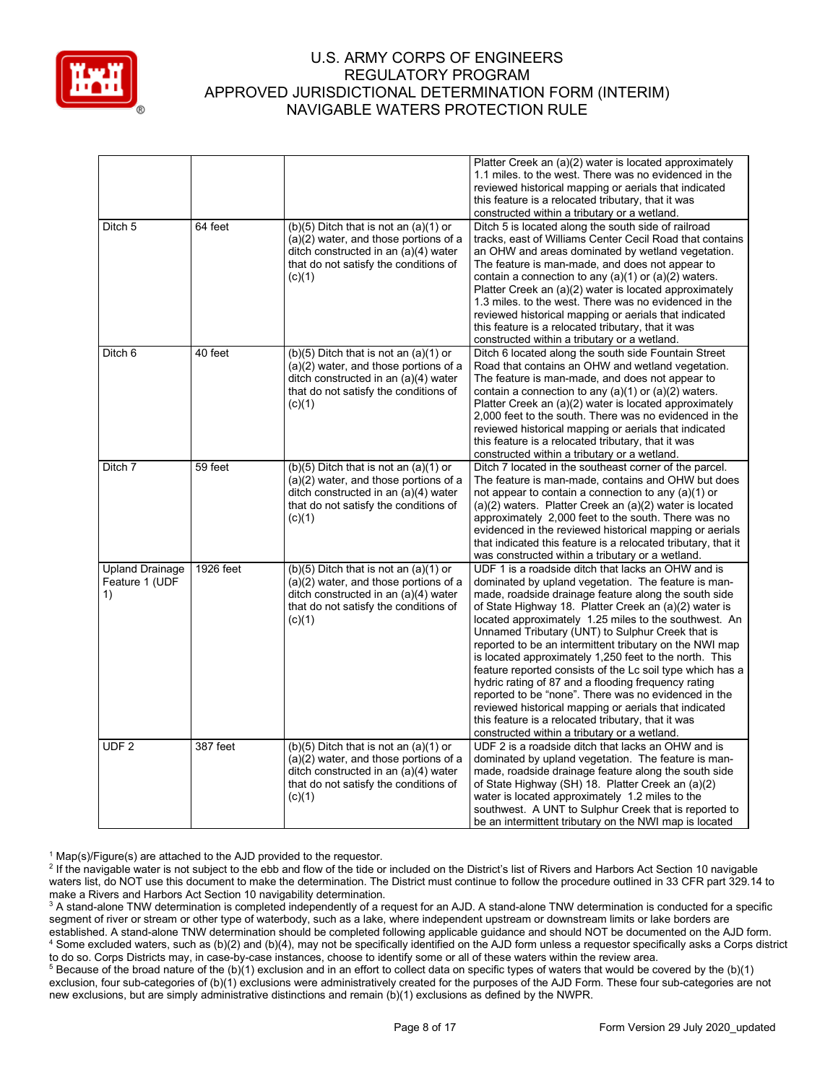

| Ditch 5                                        | 64 feet   | $(b)(5)$ Ditch that is not an $(a)(1)$ or                                                                                                                                       | Platter Creek an (a)(2) water is located approximately<br>1.1 miles, to the west. There was no evidenced in the<br>reviewed historical mapping or aerials that indicated<br>this feature is a relocated tributary, that it was<br>constructed within a tributary or a wetland.<br>Ditch 5 is located along the south side of railroad                                                                                                                                                                                                                                                                                                                                                                                                                                                                   |
|------------------------------------------------|-----------|---------------------------------------------------------------------------------------------------------------------------------------------------------------------------------|---------------------------------------------------------------------------------------------------------------------------------------------------------------------------------------------------------------------------------------------------------------------------------------------------------------------------------------------------------------------------------------------------------------------------------------------------------------------------------------------------------------------------------------------------------------------------------------------------------------------------------------------------------------------------------------------------------------------------------------------------------------------------------------------------------|
|                                                |           | (a)(2) water, and those portions of a<br>ditch constructed in an (a)(4) water<br>that do not satisfy the conditions of<br>(c)(1)                                                | tracks, east of Williams Center Cecil Road that contains<br>an OHW and areas dominated by wetland vegetation.<br>The feature is man-made, and does not appear to<br>contain a connection to any $(a)(1)$ or $(a)(2)$ waters.<br>Platter Creek an (a)(2) water is located approximately<br>1.3 miles, to the west. There was no evidenced in the<br>reviewed historical mapping or aerials that indicated<br>this feature is a relocated tributary, that it was<br>constructed within a tributary or a wetland.                                                                                                                                                                                                                                                                                          |
| Ditch 6                                        | 40 feet   | $(b)(5)$ Ditch that is not an $(a)(1)$ or<br>(a)(2) water, and those portions of a<br>ditch constructed in an (a)(4) water<br>that do not satisfy the conditions of<br>(c)(1)   | Ditch 6 located along the south side Fountain Street<br>Road that contains an OHW and wetland vegetation.<br>The feature is man-made, and does not appear to<br>contain a connection to any $(a)(1)$ or $(a)(2)$ waters.<br>Platter Creek an (a)(2) water is located approximately<br>2,000 feet to the south. There was no evidenced in the<br>reviewed historical mapping or aerials that indicated<br>this feature is a relocated tributary, that it was<br>constructed within a tributary or a wetland.                                                                                                                                                                                                                                                                                             |
| Ditch 7                                        | 59 feet   | $(b)(5)$ Ditch that is not an $(a)(1)$ or<br>(a)(2) water, and those portions of a<br>ditch constructed in an (a)(4) water<br>that do not satisfy the conditions of<br>(c)(1)   | Ditch 7 located in the southeast corner of the parcel.<br>The feature is man-made, contains and OHW but does<br>not appear to contain a connection to any (a)(1) or<br>(a)(2) waters. Platter Creek an (a)(2) water is located<br>approximately 2,000 feet to the south. There was no<br>evidenced in the reviewed historical mapping or aerials<br>that indicated this feature is a relocated tributary, that it<br>was constructed within a tributary or a wetland.                                                                                                                                                                                                                                                                                                                                   |
| <b>Upland Drainage</b><br>Feature 1 (UDF<br>1) | 1926 feet | $(b)(5)$ Ditch that is not an $(a)(1)$ or<br>(a)(2) water, and those portions of a<br>ditch constructed in an (a)(4) water<br>that do not satisfy the conditions of<br>(c)(1)   | UDF 1 is a roadside ditch that lacks an OHW and is<br>dominated by upland vegetation. The feature is man-<br>made, roadside drainage feature along the south side<br>of State Highway 18. Platter Creek an (a)(2) water is<br>located approximately 1.25 miles to the southwest. An<br>Unnamed Tributary (UNT) to Sulphur Creek that is<br>reported to be an intermittent tributary on the NWI map<br>is located approximately 1,250 feet to the north. This<br>feature reported consists of the Lc soil type which has a<br>hydric rating of 87 and a flooding frequency rating<br>reported to be "none". There was no evidenced in the<br>reviewed historical mapping or aerials that indicated<br>this feature is a relocated tributary, that it was<br>constructed within a tributary or a wetland. |
| UDF <sub>2</sub>                               | 387 feet  | $(b)(5)$ Ditch that is not an $(a)(1)$ or<br>$(a)(2)$ water, and those portions of a<br>ditch constructed in an (a)(4) water<br>that do not satisfy the conditions of<br>(c)(1) | UDF 2 is a roadside ditch that lacks an OHW and is<br>dominated by upland vegetation. The feature is man-<br>made, roadside drainage feature along the south side<br>of State Highway (SH) 18. Platter Creek an (a)(2)<br>water is located approximately 1.2 miles to the<br>southwest. A UNT to Sulphur Creek that is reported to<br>be an intermittent tributary on the NWI map is located                                                                                                                                                                                                                                                                                                                                                                                                            |

 $1$  Map(s)/Figure(s) are attached to the AJD provided to the requestor.

<sup>2</sup> If the navigable water is not subject to the ebb and flow of the tide or included on the District's list of Rivers and Harbors Act Section 10 navigable waters list, do NOT use this document to make the determination. The District must continue to follow the procedure outlined in 33 CFR part 329.14 to make a Rivers and Harbors Act Section 10 navigability determination.

<sup>3</sup> A stand-alone TNW determination is completed independently of a request for an AJD. A stand-alone TNW determination is conducted for a specific segment of river or stream or other type of waterbody, such as a lake, where independent upstream or downstream limits or lake borders are established. A stand-alone TNW determination should be completed following applicable guidance and should NOT be documented on the AJD form. <sup>4</sup> Some excluded waters, such as (b)(2) and (b)(4), may not be specifically identified on the AJD form unless a requestor specifically asks a Corps district to do so. Corps Districts may, in case-by-case instances, choose to identify some or all of these waters within the review area.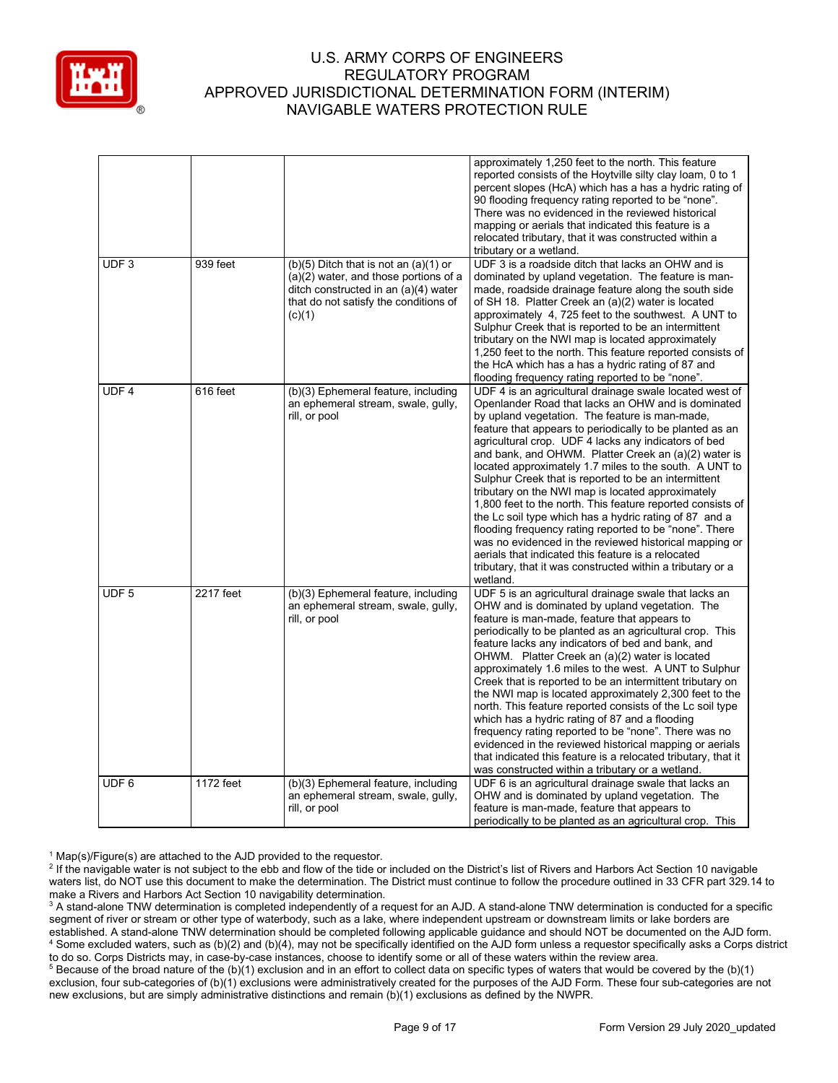

|                  |           |                                                                                                                                                                                 | approximately 1,250 feet to the north. This feature<br>reported consists of the Hoytville silty clay loam, 0 to 1<br>percent slopes (HcA) which has a has a hydric rating of<br>90 flooding frequency rating reported to be "none".<br>There was no evidenced in the reviewed historical<br>mapping or aerials that indicated this feature is a<br>relocated tributary, that it was constructed within a<br>tributary or a wetland.                                                                                                                                                                                                                                                                                                                                                                                                                                                            |
|------------------|-----------|---------------------------------------------------------------------------------------------------------------------------------------------------------------------------------|------------------------------------------------------------------------------------------------------------------------------------------------------------------------------------------------------------------------------------------------------------------------------------------------------------------------------------------------------------------------------------------------------------------------------------------------------------------------------------------------------------------------------------------------------------------------------------------------------------------------------------------------------------------------------------------------------------------------------------------------------------------------------------------------------------------------------------------------------------------------------------------------|
| UDF <sub>3</sub> | 939 feet  | $(b)(5)$ Ditch that is not an $(a)(1)$ or<br>$(a)(2)$ water, and those portions of a<br>ditch constructed in an (a)(4) water<br>that do not satisfy the conditions of<br>(c)(1) | UDF 3 is a roadside ditch that lacks an OHW and is<br>dominated by upland vegetation. The feature is man-<br>made, roadside drainage feature along the south side<br>of SH 18. Platter Creek an (a)(2) water is located<br>approximately 4, 725 feet to the southwest. A UNT to<br>Sulphur Creek that is reported to be an intermittent<br>tributary on the NWI map is located approximately<br>1,250 feet to the north. This feature reported consists of<br>the HcA which has a has a hydric rating of 87 and<br>flooding frequency rating reported to be "none".                                                                                                                                                                                                                                                                                                                            |
| UDF <sub>4</sub> | 616 feet  | (b)(3) Ephemeral feature, including<br>an ephemeral stream, swale, gully,<br>rill, or pool                                                                                      | UDF 4 is an agricultural drainage swale located west of<br>Openlander Road that lacks an OHW and is dominated<br>by upland vegetation. The feature is man-made,<br>feature that appears to periodically to be planted as an<br>agricultural crop. UDF 4 lacks any indicators of bed<br>and bank, and OHWM. Platter Creek an (a)(2) water is<br>located approximately 1.7 miles to the south. A UNT to<br>Sulphur Creek that is reported to be an intermittent<br>tributary on the NWI map is located approximately<br>1,800 feet to the north. This feature reported consists of<br>the Lc soil type which has a hydric rating of 87 and a<br>flooding frequency rating reported to be "none". There<br>was no evidenced in the reviewed historical mapping or<br>aerials that indicated this feature is a relocated<br>tributary, that it was constructed within a tributary or a<br>wetland. |
| UDF <sub>5</sub> | 2217 feet | (b)(3) Ephemeral feature, including<br>an ephemeral stream, swale, gully,<br>rill, or pool                                                                                      | UDF 5 is an agricultural drainage swale that lacks an<br>OHW and is dominated by upland vegetation. The<br>feature is man-made, feature that appears to<br>periodically to be planted as an agricultural crop. This<br>feature lacks any indicators of bed and bank, and<br>OHWM. Platter Creek an (a)(2) water is located<br>approximately 1.6 miles to the west. A UNT to Sulphur<br>Creek that is reported to be an intermittent tributary on<br>the NWI map is located approximately 2,300 feet to the<br>north. This feature reported consists of the Lc soil type<br>which has a hydric rating of 87 and a flooding<br>frequency rating reported to be "none". There was no<br>evidenced in the reviewed historical mapping or aerials<br>that indicated this feature is a relocated tributary, that it<br>was constructed within a tributary or a wetland.                              |
| UDF <sub>6</sub> | 1172 feet | (b)(3) Ephemeral feature, including<br>an ephemeral stream, swale, gully,<br>rill, or pool                                                                                      | UDF 6 is an agricultural drainage swale that lacks an<br>OHW and is dominated by upland vegetation. The<br>feature is man-made, feature that appears to<br>periodically to be planted as an agricultural crop. This                                                                                                                                                                                                                                                                                                                                                                                                                                                                                                                                                                                                                                                                            |

 $1$  Map(s)/Figure(s) are attached to the AJD provided to the requestor.

<sup>&</sup>lt;sup>2</sup> If the navigable water is not subject to the ebb and flow of the tide or included on the District's list of Rivers and Harbors Act Section 10 navigable waters list, do NOT use this document to make the determination. The District must continue to follow the procedure outlined in 33 CFR part 329.14 to make a Rivers and Harbors Act Section 10 navigability determination.

<sup>&</sup>lt;sup>3</sup> A stand-alone TNW determination is completed independently of a request for an AJD. A stand-alone TNW determination is conducted for a specific segment of river or stream or other type of waterbody, such as a lake, where independent upstream or downstream limits or lake borders are established. A stand-alone TNW determination should be completed following applicable guidance and should NOT be documented on the AJD form. <sup>4</sup> Some excluded waters, such as (b)(2) and (b)(4), may not be specifically identified on the AJD form unless a requestor specifically asks a Corps district to do so. Corps Districts may, in case-by-case instances, choose to identify some or all of these waters within the review area.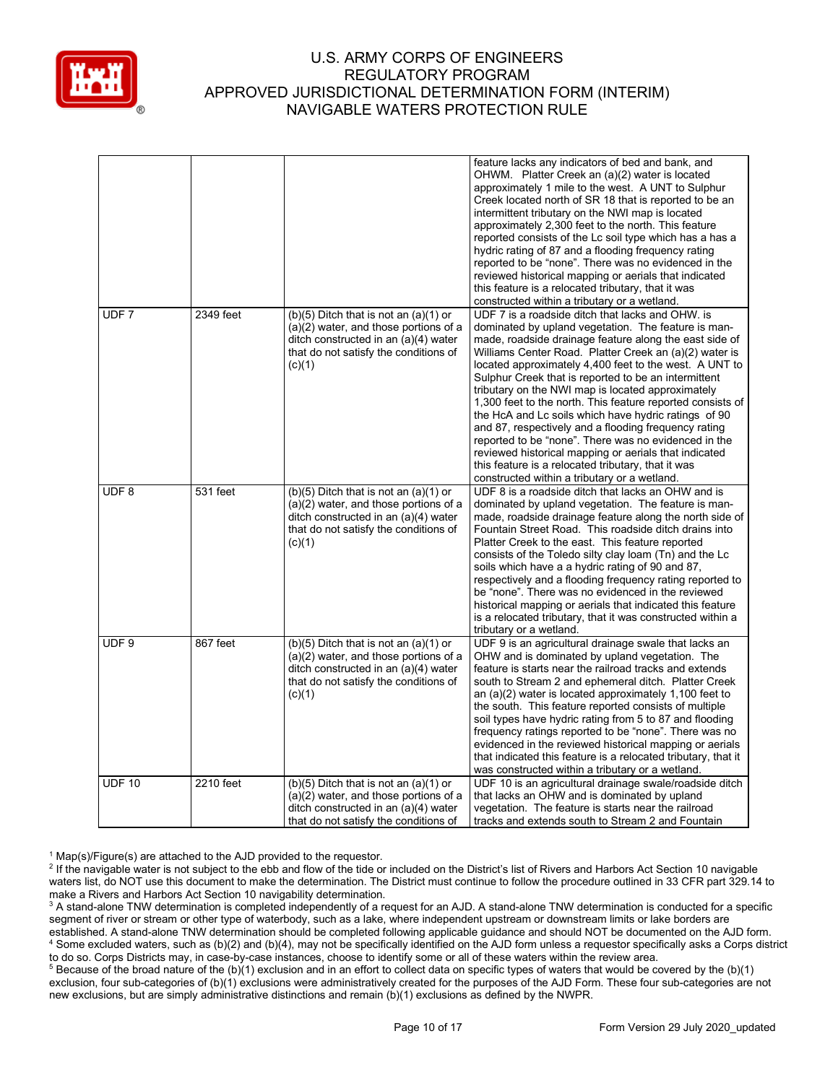

|                  |           |                                                                                                                                                                                 | feature lacks any indicators of bed and bank, and<br>OHWM. Platter Creek an (a)(2) water is located<br>approximately 1 mile to the west. A UNT to Sulphur<br>Creek located north of SR 18 that is reported to be an<br>intermittent tributary on the NWI map is located<br>approximately 2,300 feet to the north. This feature<br>reported consists of the Lc soil type which has a has a<br>hydric rating of 87 and a flooding frequency rating<br>reported to be "none". There was no evidenced in the<br>reviewed historical mapping or aerials that indicated<br>this feature is a relocated tributary, that it was<br>constructed within a tributary or a wetland.                                                                                                                                 |
|------------------|-----------|---------------------------------------------------------------------------------------------------------------------------------------------------------------------------------|---------------------------------------------------------------------------------------------------------------------------------------------------------------------------------------------------------------------------------------------------------------------------------------------------------------------------------------------------------------------------------------------------------------------------------------------------------------------------------------------------------------------------------------------------------------------------------------------------------------------------------------------------------------------------------------------------------------------------------------------------------------------------------------------------------|
| UDF <sub>7</sub> | 2349 feet | $(b)(5)$ Ditch that is not an $(a)(1)$ or<br>$(a)(2)$ water, and those portions of a<br>ditch constructed in an (a)(4) water<br>that do not satisfy the conditions of<br>(c)(1) | UDF 7 is a roadside ditch that lacks and OHW, is<br>dominated by upland vegetation. The feature is man-<br>made, roadside drainage feature along the east side of<br>Williams Center Road. Platter Creek an (a)(2) water is<br>located approximately 4,400 feet to the west. A UNT to<br>Sulphur Creek that is reported to be an intermittent<br>tributary on the NWI map is located approximately<br>1,300 feet to the north. This feature reported consists of<br>the HcA and Lc soils which have hydric ratings of 90<br>and 87, respectively and a flooding frequency rating<br>reported to be "none". There was no evidenced in the<br>reviewed historical mapping or aerials that indicated<br>this feature is a relocated tributary, that it was<br>constructed within a tributary or a wetland. |
| UDF <sub>8</sub> | 531 feet  | $(b)(5)$ Ditch that is not an $(a)(1)$ or<br>(a)(2) water, and those portions of a<br>ditch constructed in an (a)(4) water<br>that do not satisfy the conditions of<br>(c)(1)   | UDF 8 is a roadside ditch that lacks an OHW and is<br>dominated by upland vegetation. The feature is man-<br>made, roadside drainage feature along the north side of<br>Fountain Street Road. This roadside ditch drains into<br>Platter Creek to the east. This feature reported<br>consists of the Toledo silty clay loam (Tn) and the Lc<br>soils which have a a hydric rating of 90 and 87,<br>respectively and a flooding frequency rating reported to<br>be "none". There was no evidenced in the reviewed<br>historical mapping or aerials that indicated this feature<br>is a relocated tributary, that it was constructed within a<br>tributary or a wetland.                                                                                                                                  |
| UDF 9            | 867 feet  | $(b)(5)$ Ditch that is not an $(a)(1)$ or<br>(a)(2) water, and those portions of a<br>ditch constructed in an (a)(4) water<br>that do not satisfy the conditions of<br>(c)(1)   | UDF 9 is an agricultural drainage swale that lacks an<br>OHW and is dominated by upland vegetation. The<br>feature is starts near the railroad tracks and extends<br>south to Stream 2 and ephemeral ditch. Platter Creek<br>an $(a)(2)$ water is located approximately 1,100 feet to<br>the south. This feature reported consists of multiple<br>soil types have hydric rating from 5 to 87 and flooding<br>frequency ratings reported to be "none". There was no<br>evidenced in the reviewed historical mapping or aerials<br>that indicated this feature is a relocated tributary, that it<br>was constructed within a tributary or a wetland.                                                                                                                                                      |
| UDF 10           | 2210 feet | $(b)(5)$ Ditch that is not an $(a)(1)$ or<br>(a)(2) water, and those portions of a<br>ditch constructed in an (a)(4) water<br>that do not satisfy the conditions of             | UDF 10 is an agricultural drainage swale/roadside ditch<br>that lacks an OHW and is dominated by upland<br>vegetation. The feature is starts near the railroad<br>tracks and extends south to Stream 2 and Fountain                                                                                                                                                                                                                                                                                                                                                                                                                                                                                                                                                                                     |

 $1$  Map(s)/Figure(s) are attached to the AJD provided to the requestor.

<sup>2</sup> If the navigable water is not subject to the ebb and flow of the tide or included on the District's list of Rivers and Harbors Act Section 10 navigable waters list, do NOT use this document to make the determination. The District must continue to follow the procedure outlined in 33 CFR part 329.14 to make a Rivers and Harbors Act Section 10 navigability determination.

<sup>3</sup> A stand-alone TNW determination is completed independently of a request for an AJD. A stand-alone TNW determination is conducted for a specific segment of river or stream or other type of waterbody, such as a lake, where independent upstream or downstream limits or lake borders are established. A stand-alone TNW determination should be completed following applicable guidance and should NOT be documented on the AJD form. <sup>4</sup> Some excluded waters, such as (b)(2) and (b)(4), may not be specifically identified on the AJD form unless a requestor specifically asks a Corps district to do so. Corps Districts may, in case-by-case instances, choose to identify some or all of these waters within the review area.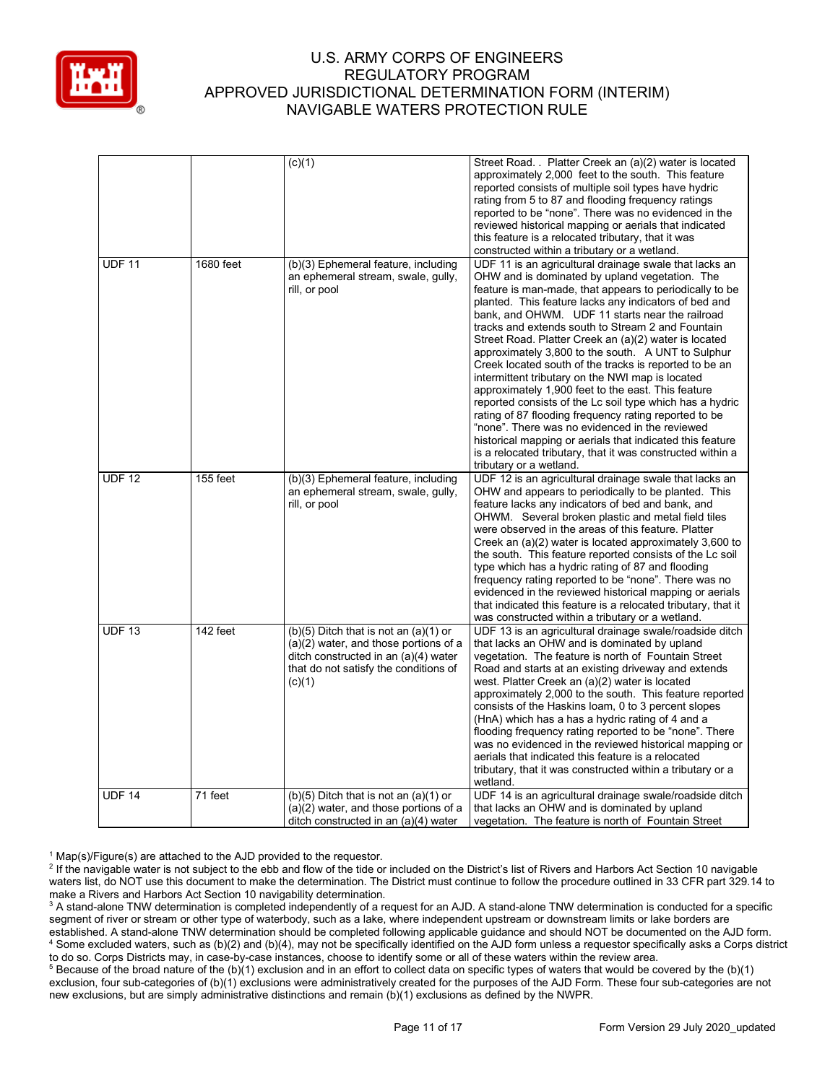

|               |            | (c)(1)                                                                        | Street Road. . Platter Creek an (a)(2) water is located                                                 |
|---------------|------------|-------------------------------------------------------------------------------|---------------------------------------------------------------------------------------------------------|
|               |            |                                                                               | approximately 2,000 feet to the south. This feature                                                     |
|               |            |                                                                               | reported consists of multiple soil types have hydric                                                    |
|               |            |                                                                               | rating from 5 to 87 and flooding frequency ratings                                                      |
|               |            |                                                                               | reported to be "none". There was no evidenced in the                                                    |
|               |            |                                                                               | reviewed historical mapping or aerials that indicated                                                   |
|               |            |                                                                               | this feature is a relocated tributary, that it was                                                      |
|               |            |                                                                               | constructed within a tributary or a wetland.                                                            |
| <b>UDF 11</b> | 1680 feet  | (b)(3) Ephemeral feature, including                                           | UDF 11 is an agricultural drainage swale that lacks an                                                  |
|               |            | an ephemeral stream, swale, gully,                                            | OHW and is dominated by upland vegetation. The                                                          |
|               |            | rill, or pool                                                                 | feature is man-made, that appears to periodically to be                                                 |
|               |            |                                                                               | planted. This feature lacks any indicators of bed and                                                   |
|               |            |                                                                               | bank, and OHWM. UDF 11 starts near the railroad                                                         |
|               |            |                                                                               | tracks and extends south to Stream 2 and Fountain                                                       |
|               |            |                                                                               | Street Road. Platter Creek an (a)(2) water is located                                                   |
|               |            |                                                                               | approximately 3,800 to the south. A UNT to Sulphur                                                      |
|               |            |                                                                               | Creek located south of the tracks is reported to be an                                                  |
|               |            |                                                                               | intermittent tributary on the NWI map is located                                                        |
|               |            |                                                                               | approximately 1,900 feet to the east. This feature                                                      |
|               |            |                                                                               | reported consists of the Lc soil type which has a hydric                                                |
|               |            |                                                                               | rating of 87 flooding frequency rating reported to be<br>"none". There was no evidenced in the reviewed |
|               |            |                                                                               | historical mapping or aerials that indicated this feature                                               |
|               |            |                                                                               | is a relocated tributary, that it was constructed within a                                              |
|               |            |                                                                               | tributary or a wetland.                                                                                 |
| <b>UDF 12</b> | $155$ feet | (b)(3) Ephemeral feature, including                                           | UDF 12 is an agricultural drainage swale that lacks an                                                  |
|               |            | an ephemeral stream, swale, gully,                                            | OHW and appears to periodically to be planted. This                                                     |
|               |            | rill, or pool                                                                 | feature lacks any indicators of bed and bank, and                                                       |
|               |            |                                                                               | OHWM. Several broken plastic and metal field tiles                                                      |
|               |            |                                                                               | were observed in the areas of this feature. Platter                                                     |
|               |            |                                                                               | Creek an (a)(2) water is located approximately 3,600 to                                                 |
|               |            |                                                                               | the south. This feature reported consists of the Lc soil                                                |
|               |            |                                                                               | type which has a hydric rating of 87 and flooding                                                       |
|               |            |                                                                               | frequency rating reported to be "none". There was no                                                    |
|               |            |                                                                               | evidenced in the reviewed historical mapping or aerials                                                 |
|               |            |                                                                               | that indicated this feature is a relocated tributary, that it                                           |
|               |            |                                                                               | was constructed within a tributary or a wetland.                                                        |
| <b>UDF 13</b> | 142 feet   | $(b)(5)$ Ditch that is not an $(a)(1)$ or                                     | UDF 13 is an agricultural drainage swale/roadside ditch                                                 |
|               |            | $(a)(2)$ water, and those portions of a                                       | that lacks an OHW and is dominated by upland<br>vegetation. The feature is north of Fountain Street     |
|               |            | ditch constructed in an (a)(4) water<br>that do not satisfy the conditions of | Road and starts at an existing driveway and extends                                                     |
|               |            | (c)(1)                                                                        | west. Platter Creek an (a)(2) water is located                                                          |
|               |            |                                                                               | approximately 2,000 to the south. This feature reported                                                 |
|               |            |                                                                               | consists of the Haskins loam, 0 to 3 percent slopes                                                     |
|               |            |                                                                               | (HnA) which has a has a hydric rating of 4 and a                                                        |
|               |            |                                                                               | flooding frequency rating reported to be "none". There                                                  |
|               |            |                                                                               | was no evidenced in the reviewed historical mapping or                                                  |
|               |            |                                                                               | aerials that indicated this feature is a relocated                                                      |
|               |            |                                                                               | tributary, that it was constructed within a tributary or a                                              |
|               |            |                                                                               | wetland.                                                                                                |
| <b>UDF 14</b> | 71 feet    | $(b)(5)$ Ditch that is not an $(a)(1)$ or                                     | UDF 14 is an agricultural drainage swale/roadside ditch                                                 |
|               |            | $(a)(2)$ water, and those portions of a                                       | that lacks an OHW and is dominated by upland                                                            |
|               |            | ditch constructed in an $(a)(4)$ water                                        | vegetation. The feature is north of Fountain Street                                                     |

 $1$  Map(s)/Figure(s) are attached to the AJD provided to the requestor.

<sup>2</sup> If the navigable water is not subject to the ebb and flow of the tide or included on the District's list of Rivers and Harbors Act Section 10 navigable waters list, do NOT use this document to make the determination. The District must continue to follow the procedure outlined in 33 CFR part 329.14 to make a Rivers and Harbors Act Section 10 navigability determination.

<sup>3</sup> A stand-alone TNW determination is completed independently of a request for an AJD. A stand-alone TNW determination is conducted for a specific segment of river or stream or other type of waterbody, such as a lake, where independent upstream or downstream limits or lake borders are established. A stand-alone TNW determination should be completed following applicable guidance and should NOT be documented on the AJD form. <sup>4</sup> Some excluded waters, such as (b)(2) and (b)(4), may not be specifically identified on the AJD form unless a requestor specifically asks a Corps district to do so. Corps Districts may, in case-by-case instances, choose to identify some or all of these waters within the review area.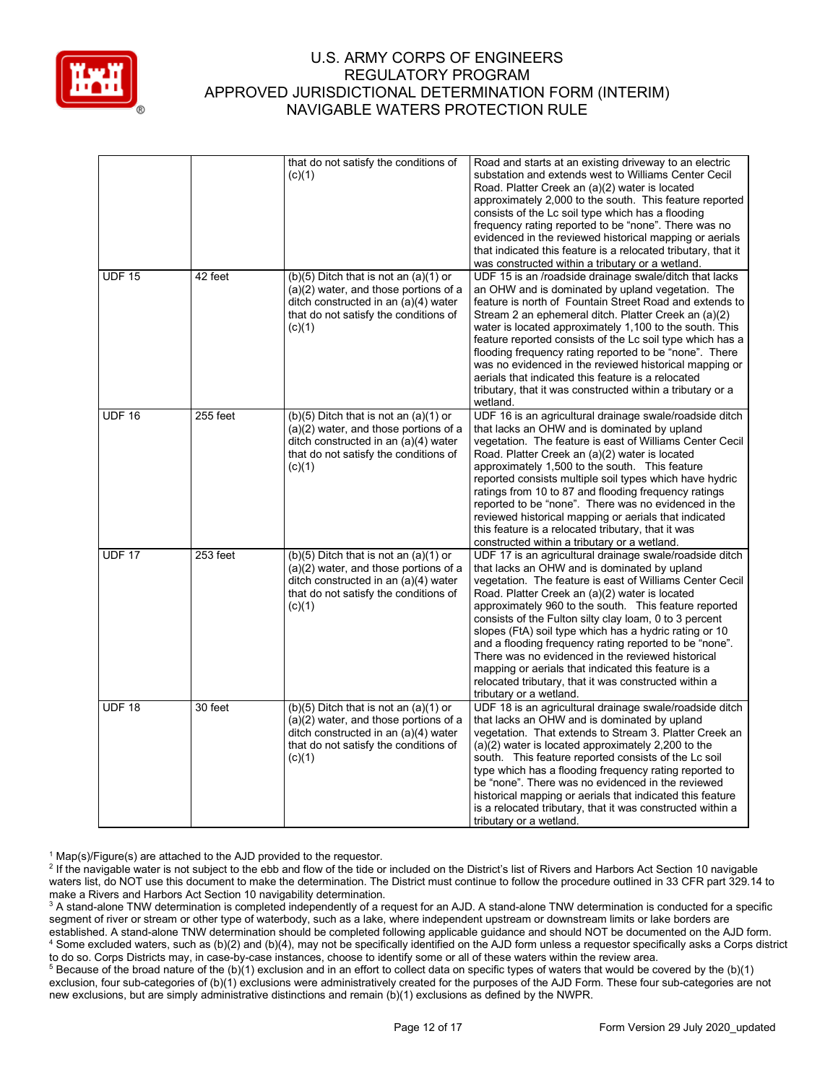

|               |          | that do not satisfy the conditions of<br>(c)(1)                                                                                                                                 | Road and starts at an existing driveway to an electric<br>substation and extends west to Williams Center Cecil<br>Road. Platter Creek an (a)(2) water is located<br>approximately 2,000 to the south. This feature reported<br>consists of the Lc soil type which has a flooding<br>frequency rating reported to be "none". There was no<br>evidenced in the reviewed historical mapping or aerials<br>that indicated this feature is a relocated tributary, that it<br>was constructed within a tributary or a wetland.                                                                                                                                     |
|---------------|----------|---------------------------------------------------------------------------------------------------------------------------------------------------------------------------------|--------------------------------------------------------------------------------------------------------------------------------------------------------------------------------------------------------------------------------------------------------------------------------------------------------------------------------------------------------------------------------------------------------------------------------------------------------------------------------------------------------------------------------------------------------------------------------------------------------------------------------------------------------------|
| <b>UDF 15</b> | 42 feet  | $(b)(5)$ Ditch that is not an $(a)(1)$ or<br>$(a)(2)$ water, and those portions of a<br>ditch constructed in an (a)(4) water<br>that do not satisfy the conditions of<br>(c)(1) | UDF 15 is an /roadside drainage swale/ditch that lacks<br>an OHW and is dominated by upland vegetation. The<br>feature is north of Fountain Street Road and extends to<br>Stream 2 an ephemeral ditch. Platter Creek an (a)(2)<br>water is located approximately 1,100 to the south. This<br>feature reported consists of the Lc soil type which has a<br>flooding frequency rating reported to be "none". There<br>was no evidenced in the reviewed historical mapping or<br>aerials that indicated this feature is a relocated<br>tributary, that it was constructed within a tributary or a<br>wetland.                                                   |
| <b>UDF 16</b> | 255 feet | $(b)(5)$ Ditch that is not an $(a)(1)$ or<br>(a)(2) water, and those portions of a<br>ditch constructed in an (a)(4) water<br>that do not satisfy the conditions of<br>(c)(1)   | UDF 16 is an agricultural drainage swale/roadside ditch<br>that lacks an OHW and is dominated by upland<br>vegetation. The feature is east of Williams Center Cecil<br>Road. Platter Creek an (a)(2) water is located<br>approximately 1,500 to the south. This feature<br>reported consists multiple soil types which have hydric<br>ratings from 10 to 87 and flooding frequency ratings<br>reported to be "none". There was no evidenced in the<br>reviewed historical mapping or aerials that indicated<br>this feature is a relocated tributary, that it was<br>constructed within a tributary or a wetland.                                            |
| <b>UDF 17</b> | 253 feet | $(b)(5)$ Ditch that is not an $(a)(1)$ or<br>$(a)(2)$ water, and those portions of a<br>ditch constructed in an (a)(4) water<br>that do not satisfy the conditions of<br>(c)(1) | UDF 17 is an agricultural drainage swale/roadside ditch<br>that lacks an OHW and is dominated by upland<br>vegetation. The feature is east of Williams Center Cecil<br>Road. Platter Creek an (a)(2) water is located<br>approximately 960 to the south. This feature reported<br>consists of the Fulton silty clay loam, 0 to 3 percent<br>slopes (FtA) soil type which has a hydric rating or 10<br>and a flooding frequency rating reported to be "none".<br>There was no evidenced in the reviewed historical<br>mapping or aerials that indicated this feature is a<br>relocated tributary, that it was constructed within a<br>tributary or a wetland. |
| <b>UDF 18</b> | 30 feet  | $(b)(5)$ Ditch that is not an $(a)(1)$ or<br>$(a)(2)$ water, and those portions of a<br>ditch constructed in an (a)(4) water<br>that do not satisfy the conditions of<br>(c)(1) | UDF 18 is an agricultural drainage swale/roadside ditch<br>that lacks an OHW and is dominated by upland<br>vegetation. That extends to Stream 3. Platter Creek an<br>$(a)(2)$ water is located approximately 2,200 to the<br>south. This feature reported consists of the Lc soil<br>type which has a flooding frequency rating reported to<br>be "none". There was no evidenced in the reviewed<br>historical mapping or aerials that indicated this feature<br>is a relocated tributary, that it was constructed within a<br>tributary or a wetland.                                                                                                       |

 $1$  Map(s)/Figure(s) are attached to the AJD provided to the requestor.

<sup>2</sup> If the navigable water is not subject to the ebb and flow of the tide or included on the District's list of Rivers and Harbors Act Section 10 navigable waters list, do NOT use this document to make the determination. The District must continue to follow the procedure outlined in 33 CFR part 329.14 to make a Rivers and Harbors Act Section 10 navigability determination.

<sup>3</sup> A stand-alone TNW determination is completed independently of a request for an AJD. A stand-alone TNW determination is conducted for a specific segment of river or stream or other type of waterbody, such as a lake, where independent upstream or downstream limits or lake borders are established. A stand-alone TNW determination should be completed following applicable guidance and should NOT be documented on the AJD form. <sup>4</sup> Some excluded waters, such as (b)(2) and (b)(4), may not be specifically identified on the AJD form unless a requestor specifically asks a Corps district to do so. Corps Districts may, in case-by-case instances, choose to identify some or all of these waters within the review area.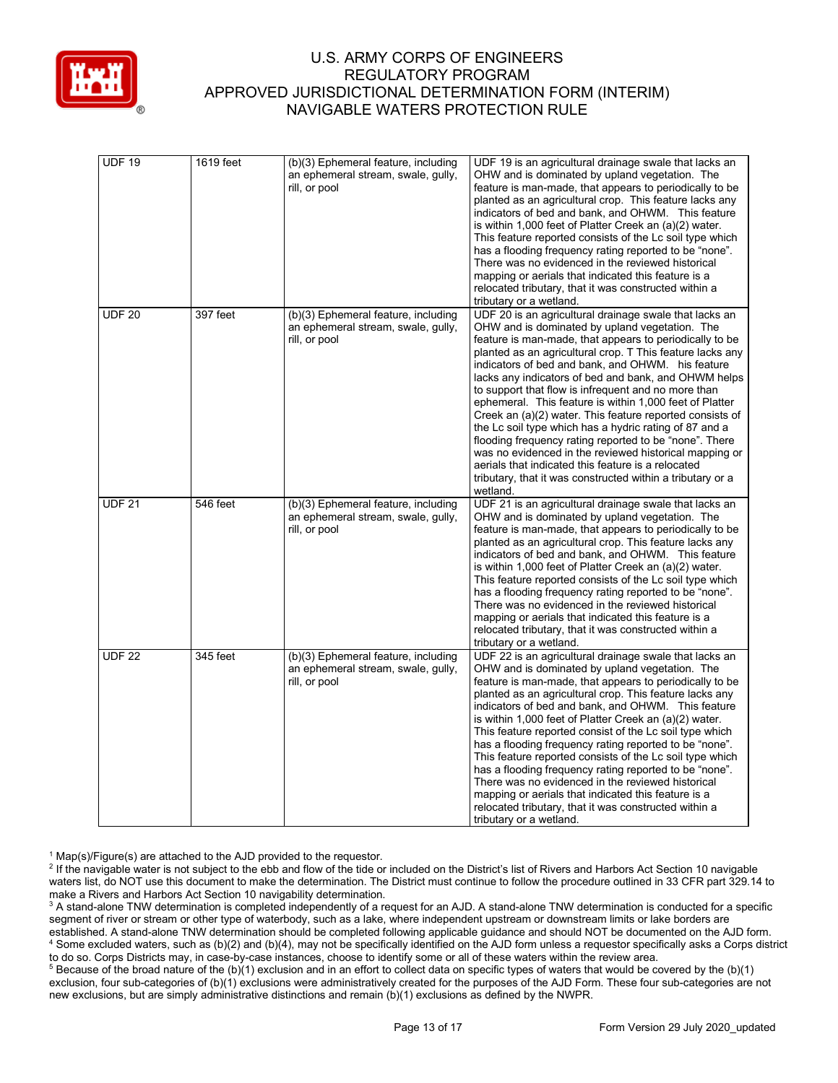

| <b>UDF 19</b> | 1619 feet | (b)(3) Ephemeral feature, including<br>an ephemeral stream, swale, gully,<br>rill, or pool | UDF 19 is an agricultural drainage swale that lacks an<br>OHW and is dominated by upland vegetation. The<br>feature is man-made, that appears to periodically to be<br>planted as an agricultural crop. This feature lacks any<br>indicators of bed and bank, and OHWM. This feature<br>is within 1,000 feet of Platter Creek an (a)(2) water.<br>This feature reported consists of the Lc soil type which<br>has a flooding frequency rating reported to be "none".<br>There was no evidenced in the reviewed historical<br>mapping or aerials that indicated this feature is a<br>relocated tributary, that it was constructed within a<br>tributary or a wetland.                                                                                                                                                                      |
|---------------|-----------|--------------------------------------------------------------------------------------------|-------------------------------------------------------------------------------------------------------------------------------------------------------------------------------------------------------------------------------------------------------------------------------------------------------------------------------------------------------------------------------------------------------------------------------------------------------------------------------------------------------------------------------------------------------------------------------------------------------------------------------------------------------------------------------------------------------------------------------------------------------------------------------------------------------------------------------------------|
| <b>UDF 20</b> | 397 feet  | (b)(3) Ephemeral feature, including<br>an ephemeral stream, swale, gully,<br>rill, or pool | UDF 20 is an agricultural drainage swale that lacks an<br>OHW and is dominated by upland vegetation. The<br>feature is man-made, that appears to periodically to be<br>planted as an agricultural crop. T This feature lacks any<br>indicators of bed and bank, and OHWM. his feature<br>lacks any indicators of bed and bank, and OHWM helps<br>to support that flow is infrequent and no more than<br>ephemeral. This feature is within 1,000 feet of Platter<br>Creek an (a)(2) water. This feature reported consists of<br>the Lc soil type which has a hydric rating of 87 and a<br>flooding frequency rating reported to be "none". There<br>was no evidenced in the reviewed historical mapping or<br>aerials that indicated this feature is a relocated<br>tributary, that it was constructed within a tributary or a<br>wetland. |
| <b>UDF 21</b> | 546 feet  | (b)(3) Ephemeral feature, including<br>an ephemeral stream, swale, gully,<br>rill, or pool | UDF 21 is an agricultural drainage swale that lacks an<br>OHW and is dominated by upland vegetation. The<br>feature is man-made, that appears to periodically to be<br>planted as an agricultural crop. This feature lacks any<br>indicators of bed and bank, and OHWM. This feature<br>is within 1,000 feet of Platter Creek an (a)(2) water.<br>This feature reported consists of the Lc soil type which<br>has a flooding frequency rating reported to be "none".<br>There was no evidenced in the reviewed historical<br>mapping or aerials that indicated this feature is a<br>relocated tributary, that it was constructed within a<br>tributary or a wetland.                                                                                                                                                                      |
| <b>UDF 22</b> | 345 feet  | (b)(3) Ephemeral feature, including<br>an ephemeral stream, swale, gully,<br>rill, or pool | UDF 22 is an agricultural drainage swale that lacks an<br>OHW and is dominated by upland vegetation. The<br>feature is man-made, that appears to periodically to be<br>planted as an agricultural crop. This feature lacks any<br>indicators of bed and bank, and OHWM. This feature<br>is within 1,000 feet of Platter Creek an (a)(2) water.<br>This feature reported consist of the Lc soil type which<br>has a flooding frequency rating reported to be "none".<br>This feature reported consists of the Lc soil type which<br>has a flooding frequency rating reported to be "none".<br>There was no evidenced in the reviewed historical<br>mapping or aerials that indicated this feature is a<br>relocated tributary, that it was constructed within a<br>tributary or a wetland.                                                 |

 $1$  Map(s)/Figure(s) are attached to the AJD provided to the requestor.

<sup>2</sup> If the navigable water is not subject to the ebb and flow of the tide or included on the District's list of Rivers and Harbors Act Section 10 navigable waters list, do NOT use this document to make the determination. The District must continue to follow the procedure outlined in 33 CFR part 329.14 to make a Rivers and Harbors Act Section 10 navigability determination.

<sup>3</sup> A stand-alone TNW determination is completed independently of a request for an AJD. A stand-alone TNW determination is conducted for a specific segment of river or stream or other type of waterbody, such as a lake, where independent upstream or downstream limits or lake borders are established. A stand-alone TNW determination should be completed following applicable guidance and should NOT be documented on the AJD form. <sup>4</sup> Some excluded waters, such as (b)(2) and (b)(4), may not be specifically identified on the AJD form unless a requestor specifically asks a Corps district to do so. Corps Districts may, in case-by-case instances, choose to identify some or all of these waters within the review area.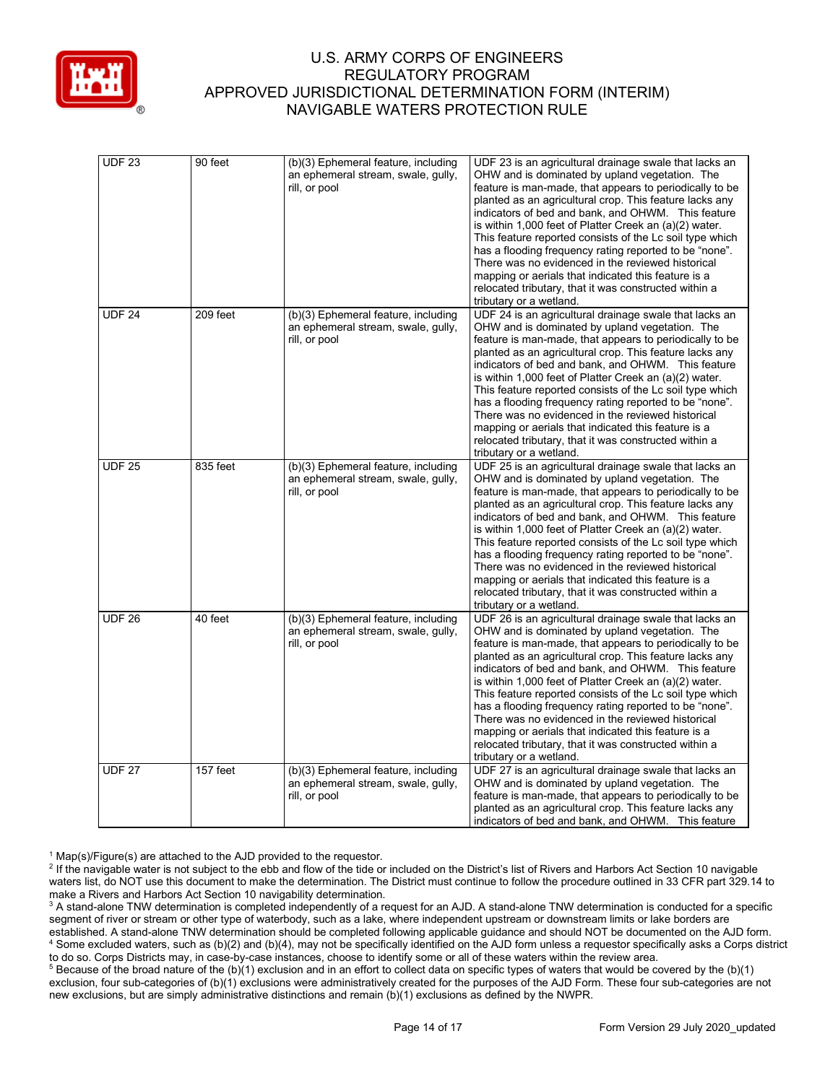

| <b>UDF 23</b> | 90 feet  | (b)(3) Ephemeral feature, including<br>an ephemeral stream, swale, gully,<br>rill, or pool | UDF 23 is an agricultural drainage swale that lacks an<br>OHW and is dominated by upland vegetation. The<br>feature is man-made, that appears to periodically to be<br>planted as an agricultural crop. This feature lacks any<br>indicators of bed and bank, and OHWM. This feature<br>is within 1,000 feet of Platter Creek an (a)(2) water.<br>This feature reported consists of the Lc soil type which<br>has a flooding frequency rating reported to be "none".<br>There was no evidenced in the reviewed historical<br>mapping or aerials that indicated this feature is a<br>relocated tributary, that it was constructed within a<br>tributary or a wetland. |
|---------------|----------|--------------------------------------------------------------------------------------------|----------------------------------------------------------------------------------------------------------------------------------------------------------------------------------------------------------------------------------------------------------------------------------------------------------------------------------------------------------------------------------------------------------------------------------------------------------------------------------------------------------------------------------------------------------------------------------------------------------------------------------------------------------------------|
| <b>UDF 24</b> | 209 feet | (b)(3) Ephemeral feature, including<br>an ephemeral stream, swale, gully,<br>rill, or pool | UDF 24 is an agricultural drainage swale that lacks an<br>OHW and is dominated by upland vegetation. The<br>feature is man-made, that appears to periodically to be<br>planted as an agricultural crop. This feature lacks any<br>indicators of bed and bank, and OHWM. This feature<br>is within 1,000 feet of Platter Creek an (a)(2) water.<br>This feature reported consists of the Lc soil type which<br>has a flooding frequency rating reported to be "none".<br>There was no evidenced in the reviewed historical<br>mapping or aerials that indicated this feature is a<br>relocated tributary, that it was constructed within a<br>tributary or a wetland. |
| <b>UDF 25</b> | 835 feet | (b)(3) Ephemeral feature, including<br>an ephemeral stream, swale, gully,<br>rill, or pool | UDF 25 is an agricultural drainage swale that lacks an<br>OHW and is dominated by upland vegetation. The<br>feature is man-made, that appears to periodically to be<br>planted as an agricultural crop. This feature lacks any<br>indicators of bed and bank, and OHWM. This feature<br>is within 1,000 feet of Platter Creek an (a)(2) water.<br>This feature reported consists of the Lc soil type which<br>has a flooding frequency rating reported to be "none".<br>There was no evidenced in the reviewed historical<br>mapping or aerials that indicated this feature is a<br>relocated tributary, that it was constructed within a<br>tributary or a wetland. |
| <b>UDF 26</b> | 40 feet  | (b)(3) Ephemeral feature, including<br>an ephemeral stream, swale, gully,<br>rill, or pool | UDF 26 is an agricultural drainage swale that lacks an<br>OHW and is dominated by upland vegetation. The<br>feature is man-made, that appears to periodically to be<br>planted as an agricultural crop. This feature lacks any<br>indicators of bed and bank, and OHWM. This feature<br>is within 1,000 feet of Platter Creek an (a)(2) water.<br>This feature reported consists of the Lc soil type which<br>has a flooding frequency rating reported to be "none".<br>There was no evidenced in the reviewed historical<br>mapping or aerials that indicated this feature is a<br>relocated tributary, that it was constructed within a<br>tributary or a wetland. |
| <b>UDF 27</b> | 157 feet | (b)(3) Ephemeral feature, including<br>an ephemeral stream, swale, gully,<br>rill, or pool | UDF 27 is an agricultural drainage swale that lacks an<br>OHW and is dominated by upland vegetation. The<br>feature is man-made, that appears to periodically to be<br>planted as an agricultural crop. This feature lacks any<br>indicators of bed and bank, and OHWM. This feature                                                                                                                                                                                                                                                                                                                                                                                 |

 $1$  Map(s)/Figure(s) are attached to the AJD provided to the requestor.

<sup>&</sup>lt;sup>2</sup> If the navigable water is not subject to the ebb and flow of the tide or included on the District's list of Rivers and Harbors Act Section 10 navigable waters list, do NOT use this document to make the determination. The District must continue to follow the procedure outlined in 33 CFR part 329.14 to make a Rivers and Harbors Act Section 10 navigability determination.

<sup>&</sup>lt;sup>3</sup> A stand-alone TNW determination is completed independently of a request for an AJD. A stand-alone TNW determination is conducted for a specific segment of river or stream or other type of waterbody, such as a lake, where independent upstream or downstream limits or lake borders are established. A stand-alone TNW determination should be completed following applicable guidance and should NOT be documented on the AJD form. <sup>4</sup> Some excluded waters, such as (b)(2) and (b)(4), may not be specifically identified on the AJD form unless a requestor specifically asks a Corps district to do so. Corps Districts may, in case-by-case instances, choose to identify some or all of these waters within the review area.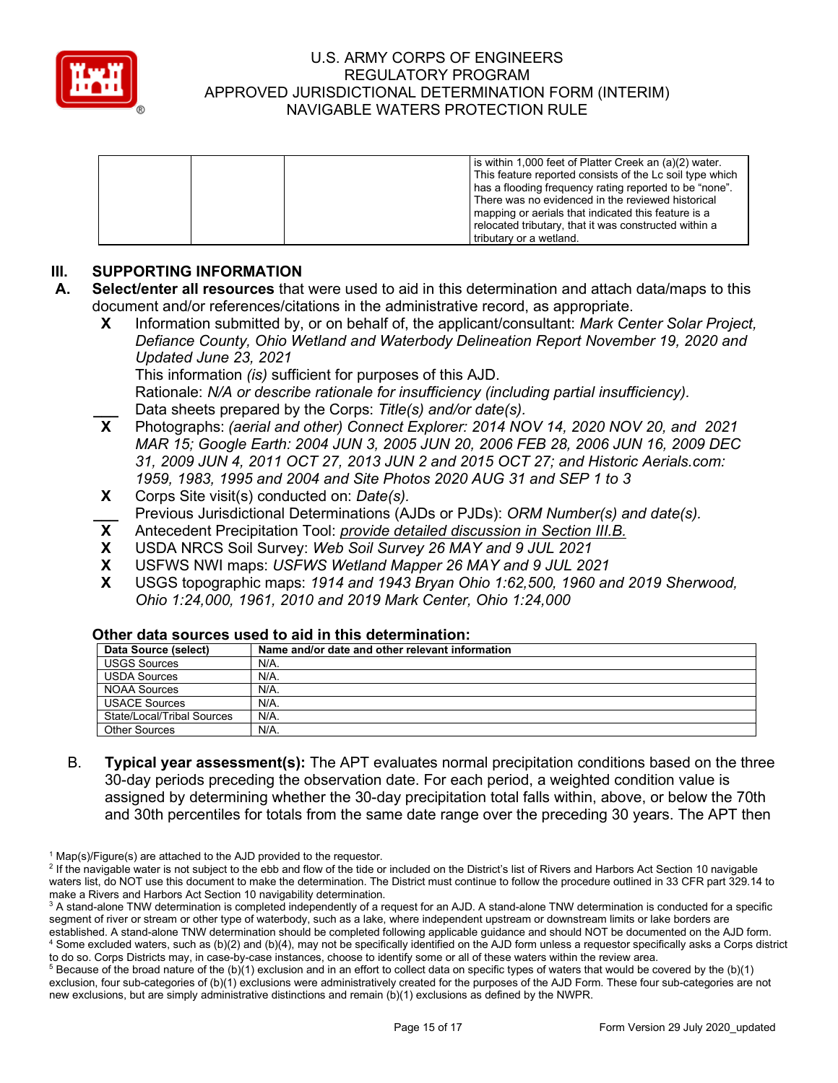

| is within 1,000 feet of Platter Creek an (a)(2) water.   |
|----------------------------------------------------------|
| This feature reported consists of the Lc soil type which |
| has a flooding frequency rating reported to be "none".   |
| There was no evidenced in the reviewed historical        |
| mapping or aerials that indicated this feature is a      |
| relocated tributary, that it was constructed within a    |
| tributary or a wetland.                                  |

# **III. SUPPORTING INFORMATION**

- **A. Select/enter all resources** that were used to aid in this determination and attach data/maps to this document and/or references/citations in the administrative record, as appropriate.
	- **X** Information submitted by, or on behalf of, the applicant/consultant: *Mark Center Solar Project, Defiance County, Ohio Wetland and Waterbody Delineation Report November 19, 2020 and Updated June 23, 2021* This information *(is)* sufficient for purposes of this AJD.

Rationale: *N/A or describe rationale for insufficiency (including partial insufficiency).* **\_\_\_** Data sheets prepared by the Corps: *Title(s) and/or date(s).*

- **X** Photographs: *(aerial and other) Connect Explorer: 2014 NOV 14, 2020 NOV 20, and 2021 MAR 15; Google Earth: 2004 JUN 3, 2005 JUN 20, 2006 FEB 28, 2006 JUN 16, 2009 DEC 31, 2009 JUN 4, 2011 OCT 27, 2013 JUN 2 and 2015 OCT 27; and Historic Aerials.com: 1959, 1983, 1995 and 2004 and Site Photos 2020 AUG 31 and SEP 1 to 3*
- **X** Corps Site visit(s) conducted on: *Date(s).*
- **\_\_\_** Previous Jurisdictional Determinations (AJDs or PJDs): *ORM Number(s) and date(s).*
- **X** Antecedent Precipitation Tool: *provide detailed discussion in Section III.B.*
- **X** USDA NRCS Soil Survey: *Web Soil Survey 26 MAY and 9 JUL 2021*
- **X** USFWS NWI maps: *USFWS Wetland Mapper 26 MAY and 9 JUL 2021*
- **X** USGS topographic maps: *1914 and 1943 Bryan Ohio 1:62,500, 1960 and 2019 Sherwood, Ohio 1:24,000, 1961, 2010 and 2019 Mark Center, Ohio 1:24,000*

| Data Source (select)       | Name and/or date and other relevant information |
|----------------------------|-------------------------------------------------|
| <b>USGS Sources</b>        | N/A.                                            |
| <b>USDA Sources</b>        | $N/A$ .                                         |
| <b>NOAA Sources</b>        | $N/A$ .                                         |
| <b>USACE Sources</b>       | $N/A$ .                                         |
| State/Local/Tribal Sources | $N/A$ .                                         |
| <b>Other Sources</b>       | $N/A$ .                                         |

#### **Other data sources used to aid in this determination:**

B. **Typical year assessment(s):** The APT evaluates normal precipitation conditions based on the three 30-day periods preceding the observation date. For each period, a weighted condition value is assigned by determining whether the 30-day precipitation total falls within, above, or below the 70th and 30th percentiles for totals from the same date range over the preceding 30 years. The APT then

 $1$  Map(s)/Figure(s) are attached to the AJD provided to the requestor.

<sup>&</sup>lt;sup>2</sup> If the navigable water is not subject to the ebb and flow of the tide or included on the District's list of Rivers and Harbors Act Section 10 navigable waters list, do NOT use this document to make the determination. The District must continue to follow the procedure outlined in 33 CFR part 329.14 to make a Rivers and Harbors Act Section 10 navigability determination.

<sup>&</sup>lt;sup>3</sup> A stand-alone TNW determination is completed independently of a request for an AJD. A stand-alone TNW determination is conducted for a specific segment of river or stream or other type of waterbody, such as a lake, where independent upstream or downstream limits or lake borders are established. A stand-alone TNW determination should be completed following applicable guidance and should NOT be documented on the AJD form. <sup>4</sup> Some excluded waters, such as (b)(2) and (b)(4), may not be specifically identified on the AJD form unless a requestor specifically asks a Corps district to do so. Corps Districts may, in case-by-case instances, choose to identify some or all of these waters within the review area.

 $5$  Because of the broad nature of the (b)(1) exclusion and in an effort to collect data on specific types of waters that would be covered by the (b)(1) exclusion, four sub-categories of (b)(1) exclusions were administratively created for the purposes of the AJD Form. These four sub-categories are not new exclusions, but are simply administrative distinctions and remain (b)(1) exclusions as defined by the NWPR.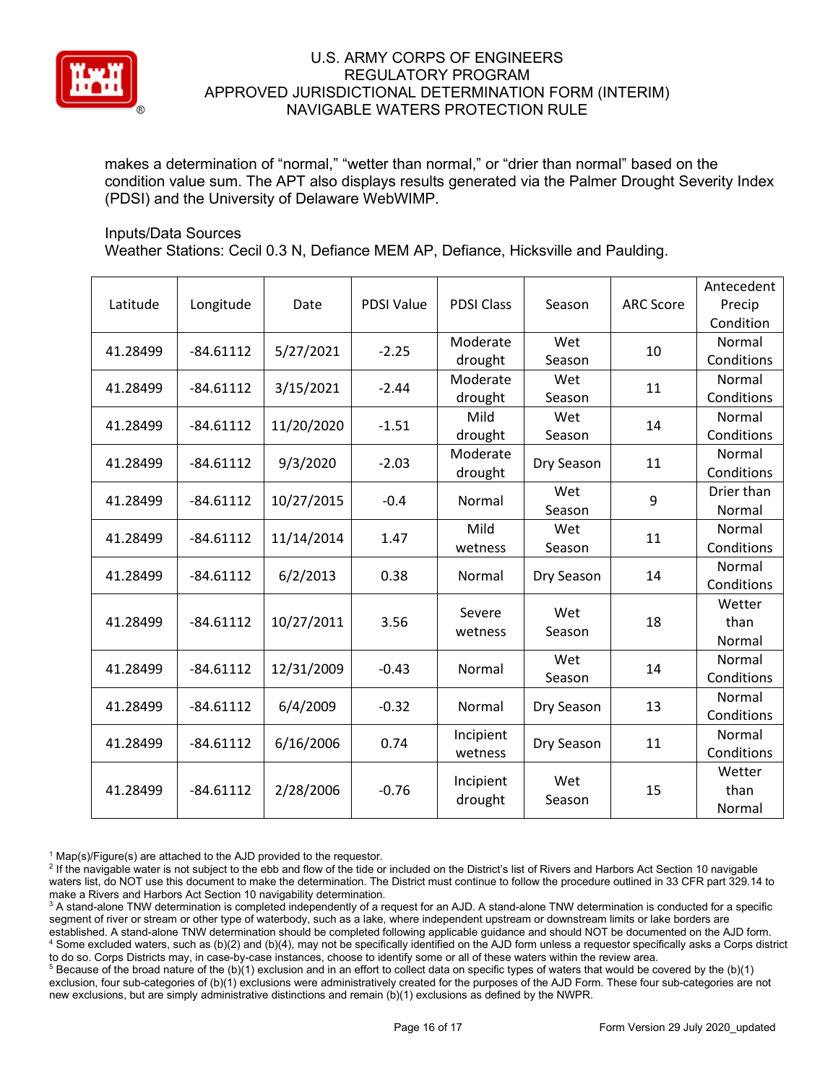

makes a determination of "normal," "wetter than normal," or "drier than normal" based on the condition value sum. The APT also displays results generated via the Palmer Drought Severity Index (PDSI) and the University of Delaware WebWIMP.

#### Inputs/Data Sources

Weather Stations: Cecil 0.3 N, Defiance MEM AP, Defiance, Hicksville and Paulding.

| Latitude | Longitude   | Date       | <b>PDSI Value</b> | <b>PDSI Class</b>    | Season        | <b>ARC Score</b> | Antecedent<br>Precip<br>Condition |
|----------|-------------|------------|-------------------|----------------------|---------------|------------------|-----------------------------------|
| 41.28499 | $-84.61112$ | 5/27/2021  | $-2.25$           | Moderate<br>drought  | Wet<br>Season | 10               | Normal<br>Conditions              |
| 41.28499 | $-84.61112$ | 3/15/2021  | $-2.44$           | Moderate<br>drought  | Wet<br>Season | 11               | Normal<br>Conditions              |
| 41.28499 | $-84.61112$ | 11/20/2020 | $-1.51$           | Mild<br>drought      | Wet<br>Season | 14               | Normal<br>Conditions              |
| 41.28499 | $-84.61112$ | 9/3/2020   | $-2.03$           | Moderate<br>drought  | Dry Season    | 11               | Normal<br>Conditions              |
| 41.28499 | $-84.61112$ | 10/27/2015 | $-0.4$            | Normal               | Wet<br>Season | 9                | Drier than<br>Normal              |
| 41.28499 | $-84.61112$ | 11/14/2014 | 1.47              | Mild<br>wetness      | Wet<br>Season | 11               | Normal<br>Conditions              |
| 41.28499 | $-84.61112$ | 6/2/2013   | 0.38              | Normal               | Dry Season    | 14               | Normal<br>Conditions              |
| 41.28499 | $-84.61112$ | 10/27/2011 | 3.56              | Severe<br>wetness    | Wet<br>Season | 18               | Wetter<br>than<br>Normal          |
| 41.28499 | $-84.61112$ | 12/31/2009 | $-0.43$           | Normal               | Wet<br>Season | 14               | Normal<br>Conditions              |
| 41.28499 | $-84.61112$ | 6/4/2009   | $-0.32$           | Normal               | Dry Season    | 13               | Normal<br>Conditions              |
| 41.28499 | $-84.61112$ | 6/16/2006  | 0.74              | Incipient<br>wetness | Dry Season    | 11               | Normal<br>Conditions              |
| 41.28499 | $-84.61112$ | 2/28/2006  | $-0.76$           | Incipient<br>drought | Wet<br>Season | 15               | Wetter<br>than<br>Normal          |

 $1$  Map(s)/Figure(s) are attached to the AJD provided to the requestor.

<sup>2</sup> If the navigable water is not subject to the ebb and flow of the tide or included on the District's list of Rivers and Harbors Act Section 10 navigable waters list, do NOT use this document to make the determination. The District must continue to follow the procedure outlined in 33 CFR part 329.14 to make a Rivers and Harbors Act Section 10 navigability determination.

<sup>3</sup> A stand-alone TNW determination is completed independently of a request for an AJD. A stand-alone TNW determination is conducted for a specific segment of river or stream or other type of waterbody, such as a lake, where independent upstream or downstream limits or lake borders are established. A stand-alone TNW determination should be completed following applicable guidance and should NOT be documented on the AJD form. <sup>4</sup> Some excluded waters, such as (b)(2) and (b)(4), may not be specifically identified on the AJD form unless a requestor specifically asks a Corps district to do so. Corps Districts may, in case-by-case instances, choose to identify some or all of these waters within the review area.